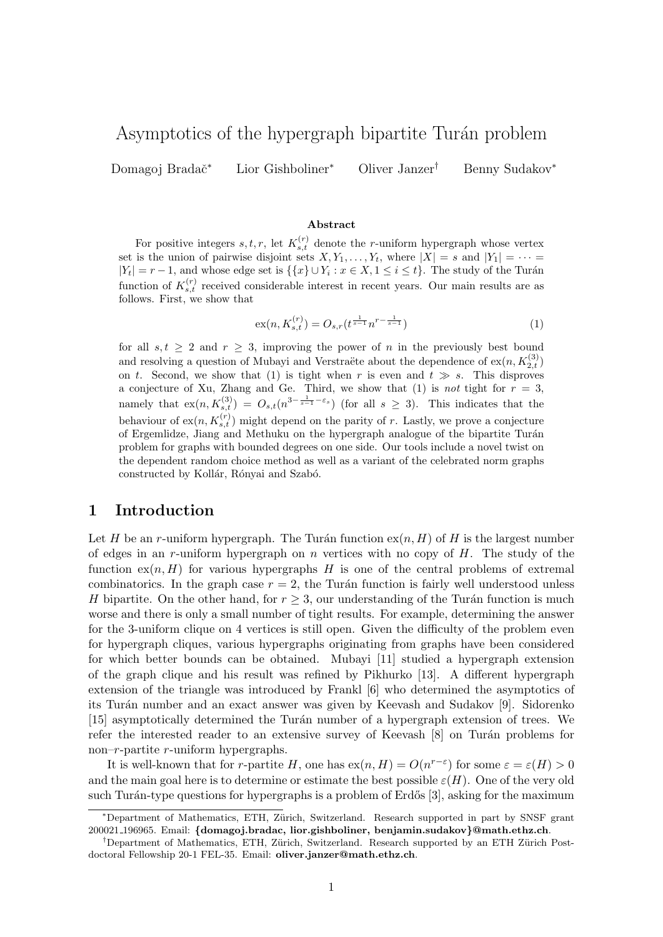# Asymptotics of the hypergraph bipartite Turán problem

Domagoj Bradač<sup>∗</sup> Lior Gishboliner<sup>∗</sup> Oliver Janzer<sup>†</sup> Benny Sudakov<sup>∗</sup>

#### Abstract

For positive integers  $s, t, r$ , let  $K_{s,t}^{(r)}$  denote the *r*-uniform hypergraph whose vertex set is the union of pairwise disjoint sets  $X, Y_1, \ldots, Y_t$ , where  $|X| = s$  and  $|Y_1| = \cdots =$  $|Y_t| = r - 1$ , and whose edge set is  $\{\{x\} \cup Y_i : x \in X, 1 \le i \le t\}$ . The study of the Turán function of  $K_{s,t}^{(r)}$  received considerable interest in recent years. Our main results are as follows. First, we show that

<span id="page-0-0"></span>
$$
\operatorname{ex}(n, K_{s,t}^{(r)}) = O_{s,r}(t^{\frac{1}{s-1}} n^{r - \frac{1}{s-1}})
$$
\n(1)

for all  $s, t \geq 2$  and  $r \geq 3$ , improving the power of n in the previously best bound and resolving a question of Mubayi and Verstraëte about the dependence of  $ex(n, K_{2,t}^{(3)})$ on t. Second, we show that [\(1\)](#page-0-0) is tight when r is even and  $t \gg s$ . This disproves a conjecture of Xu, Zhang and Ge. Third, we show that [\(1\)](#page-0-0) is not tight for  $r = 3$ , namely that  $ex(n, K_{s,t}^{(3)}) = O_{s,t}(n^{3-\frac{1}{s-1}-\varepsilon_s})$  (for all  $s \geq 3$ ). This indicates that the behaviour of  $ex(n, K_{s,t}^{(r)})$  might depend on the parity of r. Lastly, we prove a conjecture of Ergemlidze, Jiang and Methuku on the hypergraph analogue of the bipartite Turán problem for graphs with bounded degrees on one side. Our tools include a novel twist on the dependent random choice method as well as a variant of the celebrated norm graphs constructed by Kollár, Rónyai and Szabó.

### 1 Introduction

Let H be an r-uniform hypergraph. The Turán function  $ex(n, H)$  of H is the largest number of edges in an r-uniform hypergraph on n vertices with no copy of  $H$ . The study of the function  $ex(n, H)$  for various hypergraphs H is one of the central problems of extremal combinatorics. In the graph case  $r = 2$ , the Turán function is fairly well understood unless H bipartite. On the other hand, for  $r \geq 3$ , our understanding of the Turán function is much worse and there is only a small number of tight results. For example, determining the answer for the 3-uniform clique on 4 vertices is still open. Given the difficulty of the problem even for hypergraph cliques, various hypergraphs originating from graphs have been considered for which better bounds can be obtained. Mubayi [\[11\]](#page-13-0) studied a hypergraph extension of the graph clique and his result was refined by Pikhurko [\[13\]](#page-13-1). A different hypergraph extension of the triangle was introduced by Frankl [\[6\]](#page-13-2) who determined the asymptotics of its Turán number and an exact answer was given by Keevash and Sudakov [\[9\]](#page-13-3). Sidorenko [\[15\]](#page-13-4) asymptotically determined the Turán number of a hypergraph extension of trees. We refer the interested reader to an extensive survey of Keevash  $[8]$  on Turán problems for non– $r$ -partite  $r$ -uniform hypergraphs.

It is well-known that for r-partite H, one has  $ex(n, H) = O(n^{r-\epsilon})$  for some  $\varepsilon = \varepsilon(H) > 0$ and the main goal here is to determine or estimate the best possible  $\varepsilon(H)$ . One of the very old such Turán-type questions for hypergraphs is a problem of Erdős  $[3]$ , asking for the maximum

<sup>\*</sup>Department of Mathematics, ETH, Zürich, Switzerland. Research supported in part by SNSF grant 200021 196965. Email: {domagoj.bradac, lior.gishboliner, benjamin.sudakov}@math.ethz.ch.

<sup>&</sup>lt;sup>†</sup>Department of Mathematics, ETH, Zürich, Switzerland. Research supported by an ETH Zürich Postdoctoral Fellowship 20-1 FEL-35. Email: oliver.janzer@math.ethz.ch.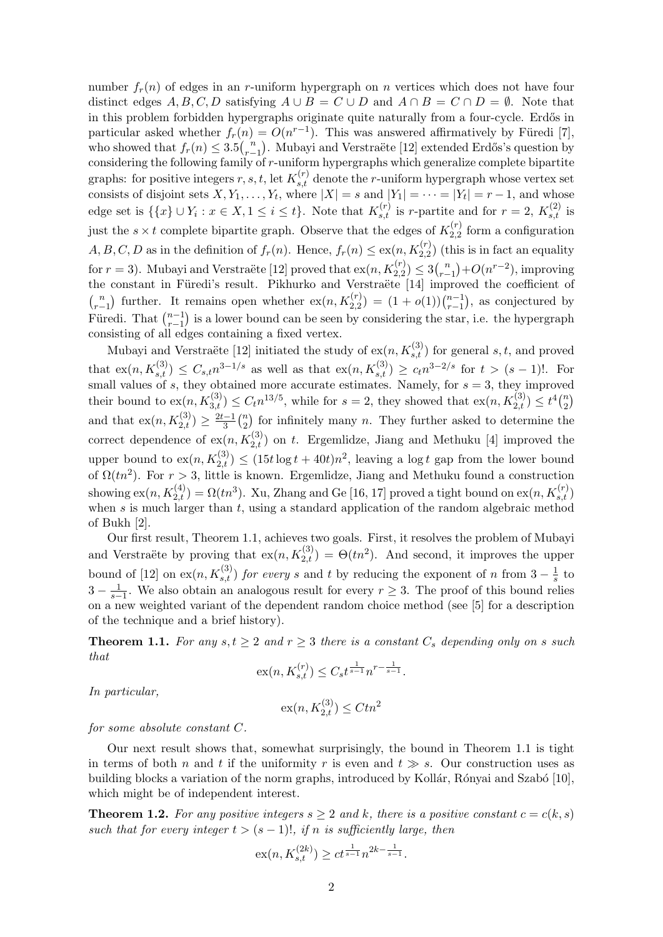number  $f_r(n)$  of edges in an r-uniform hypergraph on n vertices which does not have four distinct edges A, B, C, D satisfying  $A \cup B = C \cup D$  and  $A \cap B = C \cap D = \emptyset$ . Note that in this problem forbidden hypergraphs originate quite naturally from a four-cycle. Erdős in particular asked whether  $f_r(n) = O(n^{r-1})$ . This was answered affirmatively by Füredi [\[7\]](#page-13-7), who showed that  $f_r(n) \leq 3.5\binom{n}{r-1}$  $\binom{n}{r-1}$ . Mubayi and Verstraëte [\[12\]](#page-13-8) extended Erdős's question by considering the following family of  $r$ -uniform hypergraphs which generalize complete bipartite graphs: for positive integers  $r, s, t$ , let  $K_{s,t}^{(r)}$  denote the r-uniform hypergraph whose vertex set consists of disjoint sets  $X, Y_1, \ldots, Y_t$ , where  $|X| = s$  and  $|Y_1| = \cdots = |Y_t| = r - 1$ , and whose edge set is  $\{\{x\} \cup Y_i : x \in X, 1 \leq i \leq t\}$ . Note that  $K_{s,t}^{(r)}$  is r-partite and for  $r = 2$ ,  $K_{s,t}^{(2)}$  is just the  $s \times t$  complete bipartite graph. Observe that the edges of  $K_{2,2}^{(r)}$  $2,2$  form a configuration  $A, B, C, D$  as in the definition of  $f_r(n)$ . Hence,  $f_r(n) \leq \text{ex}(n, K_{2,2}^{(r)})$  (this is in fact an equality for  $r = 3$ ). Mubayi and Verstraëte [\[12\]](#page-13-8) proved that  $\operatorname{ex}(n, K_{2,2}^{(r)}) \leq 3 {n \choose r}$  $r_{r-1}^{(n)}$  +  $O(n^{r-2})$ , improving the constant in Füredi's result. Pikhurko and Verstraëte [\[14\]](#page-13-9) improved the coefficient of  $\binom{n}{n}$  $\binom{n}{r-1}$  further. It remains open whether  $\operatorname{ex}(n, K_{2,2}^{(r)}) = (1 + o(1))\binom{n-1}{r-1}$  $_{r-1}^{n-1}$ ), as conjectured by Füredi. That  $\binom{n-1}{r-1}$  $\binom{n-1}{r-1}$  is a lower bound can be seen by considering the star, i.e. the hypergraph consisting of all edges containing a fixed vertex.

Mubayi and Verstraëte [\[12\]](#page-13-8) initiated the study of  $ex(n, K_{s,t}^{(3)})$  for general  $s, t$ , and proved that  $ex(n, K_{s,t}^{(3)}) \leq C_{s,t} n^{3-1/s}$  as well as that  $ex(n, K_{s,t}^{(3)}) \geq c_t n^{3-2/s}$  for  $t > (s-1)!$ . For small values of s, they obtained more accurate estimates. Namely, for  $s = 3$ , they improved their bound to  $\operatorname{ex}(n, K_{3,t}^{(3)}) \leq C_t n^{13/5}$ , while for  $s = 2$ , they showed that  $\operatorname{ex}(n, K_{2,t}^{(3)}) \leq t^4 {n \choose 2}$  $\binom{n}{2}$ and that  $ex(n, K_{2,t}^{(3)}) \geq \frac{2t-1}{3}$  $rac{(-1)}{3}$  $\binom{n}{2}$  $n \choose 2$  for infinitely many *n*. They further asked to determine the correct dependence of  $ex(n, K_{2,t}^{(3)})$  on t. Ergemlidze, Jiang and Methuku [\[4\]](#page-13-10) improved the upper bound to  $ex(n, K_{2,t}^{(3)}) \leq (15t \log t + 40t)n^2$ , leaving a log t gap from the lower bound of  $\Omega(tn^2)$ . For  $r > 3$ , little is known. Ergemlidze, Jiang and Methuku found a construction showing  $ex(n, K_{2,t}^{(4)}) = \Omega(tn^3)$ . Xu, Zhang and Ge [\[16,](#page-13-11) [17\]](#page-13-12) proved a tight bound on  $ex(n, K_{s,t}^{(r)})$ when s is much larger than t, using a standard application of the random algebraic method of Bukh [\[2\]](#page-12-0).

Our first result, Theorem [1.1,](#page-1-0) achieves two goals. First, it resolves the problem of Mubayi and Verstraëte by proving that  $ex(n, K_{2,t}^{(3)}) = \Theta(tn^2)$ . And second, it improves the upper bound of [\[12\]](#page-13-8) on  $ex(n, K_{s,t}^{(3)})$  for every s and t by reducing the exponent of n from  $3-\frac{1}{s}$  $\frac{1}{s}$  to  $3 - \frac{1}{s-1}$ . We also obtain an analogous result for every  $r \geq 3$ . The proof of this bound relies on a new weighted variant of the dependent random choice method (see [\[5\]](#page-13-13) for a description of the technique and a brief history).

<span id="page-1-0"></span>**Theorem 1.1.** For any  $s, t \geq 2$  and  $r \geq 3$  there is a constant  $C_s$  depending only on s such that

$$
\operatorname{ex}(n, K_{s,t}^{(r)}) \le C_s t^{\frac{1}{s-1}} n^{r - \frac{1}{s-1}}.
$$

In particular,

$$
\textnormal{ex}(n, K_{2,t}^{(3)}) \leq C t n^2
$$

for some absolute constant C.

Our next result shows that, somewhat surprisingly, the bound in Theorem [1.1](#page-1-0) is tight in terms of both n and t if the uniformity r is even and  $t \gg s$ . Our construction uses as building blocks a variation of the norm graphs, introduced by Kollár, Rónyai and Szabó [\[10\]](#page-13-14), which might be of independent interest.

<span id="page-1-1"></span>**Theorem 1.2.** For any positive integers  $s \geq 2$  and k, there is a positive constant  $c = c(k, s)$ such that for every integer  $t > (s - 1)!$ , if n is sufficiently large, then

$$
\operatorname{ex}(n, K_{s,t}^{(2k)}) \ge ct^{\frac{1}{s-1}} n^{2k - \frac{1}{s-1}}.
$$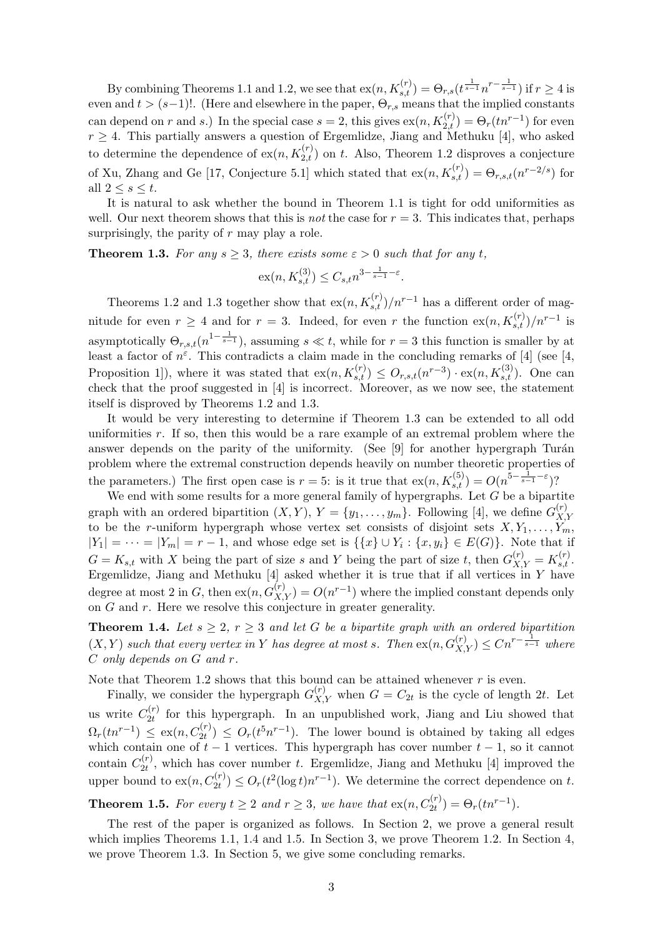By combining Theorems [1.1](#page-1-0) and [1.2,](#page-1-1) we see that  $\operatorname{ex}(n, K_{s,t}^{(r)}) = \Theta_{r,s}(t^{\frac{1}{s-1}}n^{r-\frac{1}{s-1}})$  if  $r \geq 4$  is even and  $t > (s-1)!$ . (Here and elsewhere in the paper,  $\Theta_{r,s}$  means that the implied constants can depend on r and s.) In the special case  $s = 2$ , this gives  $ex(n, K_{2,t}^{(r)}) = \Theta_r(tn^{r-1})$  for even  $r \geq 4$ . This partially answers a question of Ergemlidze, Jiang and Methuku [\[4\]](#page-13-10), who asked to determine the dependence of  $\exp(n, K_{2,t}^{(r)})$  on t. Also, Theorem [1.2](#page-1-1) disproves a conjecture of Xu, Zhang and Ge [\[17,](#page-13-12) Conjecture 5.1] which stated that  $\exp(n, K_{s,t}^{(r)}) = \Theta_{r,s,t}(n^{r-2/s})$  for all  $2 \leq s \leq t$ .

It is natural to ask whether the bound in Theorem [1.1](#page-1-0) is tight for odd uniformities as well. Our next theorem shows that this is *not* the case for  $r = 3$ . This indicates that, perhaps surprisingly, the parity of  $r$  may play a role.

<span id="page-2-0"></span>**Theorem 1.3.** For any  $s \geq 3$ , there exists some  $\varepsilon > 0$  such that for any t,

$$
\mathrm{ex}(n, K_{s,t}^{(3)}) \leq C_{s,t} n^{3 - \frac{1}{s-1} - \varepsilon}.
$$

Theorems [1.2](#page-1-1) and [1.3](#page-2-0) together show that  $\exp(n, K_{s,t}^{(r)})/n^{r-1}$  has a different order of magnitude for even  $r \geq 4$  and for  $r = 3$ . Indeed, for even r the function  $\exp\left(\frac{n}{K_{s,t}}\right)/n^{r-1}$  is asymptotically  $\Theta_{r,s,t}(n^{1-\frac{1}{s-1}})$ , assuming  $s \ll t$ , while for  $r=3$  this function is smaller by at least a factor of  $n^{\varepsilon}$ . This contradicts a claim made in the concluding remarks of [\[4\]](#page-13-10) (see [\[4,](#page-13-10) Proposition 1]), where it was stated that  $ex(n, K_{s,t}^{(r)}) \leq O_{r,s,t}(n^{r-3}) \cdot ex(n, K_{s,t}^{(3)})$ . One can check that the proof suggested in [\[4\]](#page-13-10) is incorrect. Moreover, as we now see, the statement itself is disproved by Theorems [1.2](#page-1-1) and [1.3.](#page-2-0)

It would be very interesting to determine if Theorem [1.3](#page-2-0) can be extended to all odd uniformities r. If so, then this would be a rare example of an extremal problem where the answer depends on the parity of the uniformity. (See [\[9\]](#page-13-3) for another hypergraph Turán problem where the extremal construction depends heavily on number theoretic properties of the parameters.) The first open case is  $r = 5$ : is it true that  $ex(n, K_{s,t}^{(5)}) = O(n^{5 - \frac{1}{s-1} - \varepsilon})$ ?

We end with some results for a more general family of hypergraphs. Let  $G$  be a bipartite graph with an ordered bipartition  $(X, Y), Y = \{y_1, \ldots, y_m\}$ . Following [\[4\]](#page-13-10), we define  $G_X^{(r)}$  $X,Y$ to be the r-uniform hypergraph whose vertex set consists of disjoint sets  $X, Y_1, \ldots, Y_m$ ,  $|Y_1| = \cdots = |Y_m| = r - 1$ , and whose edge set is  $\{\{x\} \cup Y_i : \{x, y_i\} \in E(G)\}\)$ . Note that if  $G = K_{s,t}$  with X being the part of size s and Y being the part of size t, then  $G_{X,Y}^{(r)} = K_{s,t}^{(r)}$ . Ergemlidze, Jiang and Methuku  $[4]$  asked whether it is true that if all vertices in Y have degree at most 2 in G, then  $ex(n, G_{X,Y}^{(r)}) = O(n^{r-1})$  where the implied constant depends only on  $G$  and  $r$ . Here we resolve this conjecture in greater generality.

<span id="page-2-1"></span>**Theorem 1.4.** Let  $s \geq 2$ ,  $r \geq 3$  and let G be a bipartite graph with an ordered bipartition  $(X, Y)$  such that every vertex in Y has degree at most s. Then  $ex(n, G_{X,Y}^{(r)}) \leq Cn^{r-\frac{1}{s-1}}$  where C only depends on G and r.

Note that Theorem [1.2](#page-1-1) shows that this bound can be attained whenever  $r$  is even.

Finally, we consider the hypergraph  $G_{X,Y}^{(r)}$  when  $G = C_{2t}$  is the cycle of length 2t. Let us write  $C_{2t}^{(r)}$  $2t^{(r)}$  for this hypergraph. In an unpublished work, Jiang and Liu showed that  $\Omega_r(tn^{r-1}) \leq \mathrm{ex}(n, C_{2t}^{(r)}) \leq O_r(t^5n^{r-1}).$  The lower bound is obtained by taking all edges which contain one of  $t-1$  vertices. This hypergraph has cover number  $t-1$ , so it cannot contain  $C_{2t}^{(r)}$  $2t^{(r)}$ , which has cover number t. Ergemlidze, Jiang and Methuku [\[4\]](#page-13-10) improved the upper bound to  $\exp(n, C_{2t}^{(r)}) \leq O_r(t^2 (\log t) n^{r-1})$ . We determine the correct dependence on t.

<span id="page-2-2"></span>**Theorem 1.5.** For every  $t \geq 2$  and  $r \geq 3$ , we have that  $\operatorname{ex}(n, C_{2t}^{(r)}) = \Theta_r(t n^{r-1})$ .

The rest of the paper is organized as follows. In Section [2,](#page-3-0) we prove a general result which implies Theorems [1.1,](#page-1-0) [1.4](#page-2-1) and [1.5.](#page-2-2) In Section [3,](#page-6-0) we prove Theorem [1.2.](#page-1-1) In Section [4,](#page-8-0) we prove Theorem [1.3.](#page-2-0) In Section [5,](#page-12-1) we give some concluding remarks.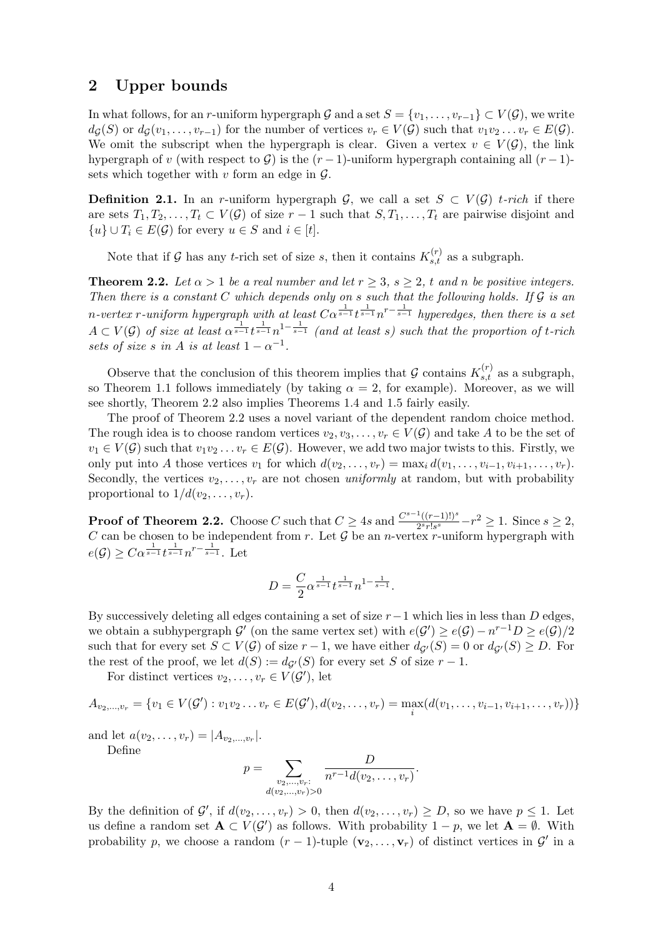## <span id="page-3-0"></span>2 Upper bounds

In what follows, for an r-uniform hypergraph G and a set  $S = \{v_1, \ldots, v_{r-1}\} \subset V(\mathcal{G})$ , we write  $d_G(S)$  or  $d_G(v_1, \ldots, v_{r-1})$  for the number of vertices  $v_r \in V(\mathcal{G})$  such that  $v_1v_2 \ldots v_r \in E(\mathcal{G})$ . We omit the subscript when the hypergraph is clear. Given a vertex  $v \in V(G)$ , the link hypergraph of v (with respect to G) is the  $(r-1)$ -uniform hypergraph containing all  $(r-1)$ sets which together with  $v$  form an edge in  $\mathcal{G}$ .

**Definition 2.1.** In an r-uniform hypergraph G, we call a set  $S \subset V(G)$  t-rich if there are sets  $T_1, T_2, \ldots, T_t \subset V(G)$  of size  $r-1$  such that  $S, T_1, \ldots, T_t$  are pairwise disjoint and  ${u} \cup T_i \in E(G)$  for every  $u \in S$  and  $i \in [t]$ .

Note that if G has any t-rich set of size s, then it contains  $K_{s,t}^{(r)}$  as a subgraph.

<span id="page-3-1"></span>**Theorem 2.2.** Let  $\alpha > 1$  be a real number and let  $r \geq 3$ ,  $s \geq 2$ , t and n be positive integers. Then there is a constant  $C$  which depends only on s such that the following holds. If  $G$  is an n-vertex r-uniform hypergraph with at least  $C\alpha^{\frac{1}{s-1}}t^{\frac{1}{s-1}}n^{r-\frac{1}{s-1}}$  hyperedges, then there is a set  $A\subset V(G)$  of size at least  $\alpha^{\frac{1}{s-1}}t^{\frac{1}{s-1}}n^{1-\frac{1}{s-1}}$  (and at least s) such that the proportion of t-rich sets of size s in A is at least  $1 - \alpha^{-1}$ .

Observe that the conclusion of this theorem implies that G contains  $K_{s,t}^{(r)}$  as a subgraph, so Theorem [1.1](#page-1-0) follows immediately (by taking  $\alpha = 2$ , for example). Moreover, as we will see shortly, Theorem [2.2](#page-3-1) also implies Theorems [1.4](#page-2-1) and [1.5](#page-2-2) fairly easily.

The proof of Theorem [2.2](#page-3-1) uses a novel variant of the dependent random choice method. The rough idea is to choose random vertices  $v_2, v_3, \ldots, v_r \in V(G)$  and take A to be the set of  $v_1 \in V(G)$  such that  $v_1v_2 \ldots v_r \in E(G)$ . However, we add two major twists to this. Firstly, we only put into A those vertices  $v_1$  for which  $d(v_2, \ldots, v_r) = \max_i d(v_1, \ldots, v_{i-1}, v_{i+1}, \ldots, v_r)$ . Secondly, the vertices  $v_2, \ldots, v_r$  are not chosen uniformly at random, but with probability proportional to  $1/d(v_2, \ldots, v_r)$ .

**Proof of Theorem [2.2.](#page-3-1)** Choose C such that  $C \geq 4s$  and  $\frac{C^{s-1}((r-1)!)^s}{2^{s}r^s\log s}$  $\frac{T((r-1)!)^s}{2^s r! s^s} - r^2 \ge 1$ . Since  $s \ge 2$ , C can be chosen to be independent from r. Let  $\overline{\mathcal{G}}$  be an *n*-vertex r-uniform hypergraph with  $e(\mathcal{G}) \geq C\alpha^{\frac{1}{s-1}}t^{\frac{1}{s-1}}n^{r-\frac{1}{s-1}}.$  Let

$$
D = \frac{C}{2} \alpha^{\frac{1}{s-1}} t^{\frac{1}{s-1}} n^{1-\frac{1}{s-1}}.
$$

By successively deleting all edges containing a set of size  $r-1$  which lies in less than D edges, we obtain a subhypergraph  $\mathcal{G}'$  (on the same vertex set) with  $e(\mathcal{G}') \geq e(\mathcal{G}) - n^{r-1}D \geq e(\mathcal{G})/2$ such that for every set  $S \subset V(\mathcal{G})$  of size  $r-1$ , we have either  $d_{\mathcal{G}'}(S) = 0$  or  $d_{\mathcal{G}'}(S) \geq D$ . For the rest of the proof, we let  $d(S) := d_{\mathcal{G}'}(S)$  for every set S of size  $r - 1$ .

For distinct vertices  $v_2, \ldots, v_r \in V(G')$ , let

$$
A_{v_2,\dots,v_r} = \{v_1 \in V(\mathcal{G}') : v_1v_2\dots v_r \in E(\mathcal{G}'), d(v_2,\dots,v_r) = \max_i (d(v_1,\dots,v_{i-1},v_{i+1},\dots,v_r))\}
$$

and let  $a(v_2,...,v_r) = |A_{v_2,...,v_r}|$ .

Define

$$
p = \sum_{\substack{v_2,\dots,v_r:\\d(v_2,\dots,v_r)>0}} \frac{D}{n^{r-1}d(v_2,\dots,v_r)}.
$$

By the definition of  $\mathcal{G}'$ , if  $d(v_2,\ldots,v_r) > 0$ , then  $d(v_2,\ldots,v_r) \geq D$ , so we have  $p \leq 1$ . Let us define a random set  $\mathbf{A} \subset V(\mathcal{G}')$  as follows. With probability  $1 - p$ , we let  $\mathbf{A} = \emptyset$ . With probability p, we choose a random  $(r-1)$ -tuple  $(\mathbf{v}_2,\ldots,\mathbf{v}_r)$  of distinct vertices in  $\mathcal{G}'$  in a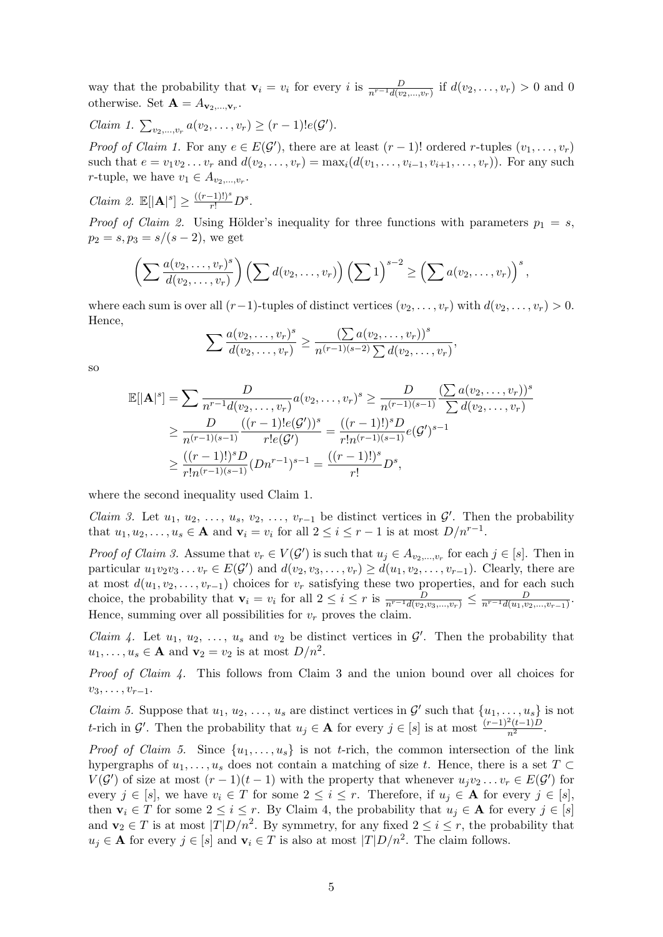way that the probability that  $\mathbf{v}_i = v_i$  for every i is  $\frac{D}{n^{r-1}d(v_2,...,v_r)}$  if  $d(v_2,...,v_r) > 0$  and 0 otherwise. Set  $\mathbf{A} = A_{\mathbf{v}_2,\dots,\mathbf{v}_r}$ .

$$
Claim 1. \sum_{v_2,\ldots,v_r} a(v_2,\ldots,v_r) \geq (r-1)!e(\mathcal{G}').
$$

*Proof of Claim 1.* For any  $e \in E(\mathcal{G}')$ , there are at least  $(r-1)!$  ordered r-tuples  $(v_1, \ldots, v_r)$ such that  $e = v_1v_2...v_r$  and  $d(v_2,...,v_r) = \max_i(d(v_1,...,v_{i-1},v_{i+1},...,v_r))$ . For any such *r*-tuple, we have  $v_1 \in A_{v_2,...,v_r}$ .

$$
Claim 2. \mathbb{E}[|\mathbf{A}|^{s}] \ge \frac{((r-1)!)^{s}}{r!}D^{s}.
$$

*Proof of Claim 2.* Using Hölder's inequality for three functions with parameters  $p_1 = s$ ,  $p_2 = s, p_3 = s/(s-2)$ , we get

$$
\left(\sum \frac{a(v_2,\ldots,v_r)^s}{d(v_2,\ldots,v_r)}\right)\left(\sum d(v_2,\ldots,v_r)\right)\left(\sum 1\right)^{s-2}\geq \left(\sum a(v_2,\ldots,v_r)\right)^s,
$$

where each sum is over all  $(r-1)$ -tuples of distinct vertices  $(v_2, \ldots, v_r)$  with  $d(v_2, \ldots, v_r) > 0$ . Hence,

$$
\sum \frac{a(v_2,\ldots,v_r)^s}{d(v_2,\ldots,v_r)} \geq \frac{(\sum a(v_2,\ldots,v_r))^s}{n^{(r-1)(s-2)}\sum d(v_2,\ldots,v_r)},
$$

so

$$
\mathbb{E}[\vert \mathbf{A} \vert^{s}] = \sum \frac{D}{n^{r-1}d(v_2, \dots, v_r)} a(v_2, \dots, v_r)^s \ge \frac{D}{n^{(r-1)(s-1)}} \frac{\left(\sum a(v_2, \dots, v_r)\right)^s}{\sum d(v_2, \dots, v_r)}
$$
  
\n
$$
\ge \frac{D}{n^{(r-1)(s-1)}} \frac{((r-1)!e(\mathcal{G}')^s)}{r!e(\mathcal{G}')^s} = \frac{((r-1)!)^s D}{r!n^{(r-1)(s-1)}} e(\mathcal{G}')^{s-1}
$$
  
\n
$$
\ge \frac{((r-1)!)^s D}{r!n^{(r-1)(s-1)}} (Dn^{r-1})^{s-1} = \frac{((r-1)!)^s}{r!} D^s,
$$

where the second inequality used Claim 1.

*Claim 3.* Let  $u_1, u_2, \ldots, u_s, v_2, \ldots, v_{r-1}$  be distinct vertices in  $\mathcal{G}'$ . Then the probability that  $u_1, u_2, \ldots, u_s \in \mathbf{A}$  and  $\mathbf{v}_i = v_i$  for all  $2 \leq i \leq r - 1$  is at most  $D/n^{r-1}$ .

*Proof of Claim 3.* Assume that  $v_r \in V(G')$  is such that  $u_j \in A_{v_2,...,v_r}$  for each  $j \in [s]$ . Then in particular  $u_1v_2v_3\ldots v_r \in E(\mathcal{G}')$  and  $d(v_2, v_3, \ldots, v_r) \geq d(u_1, v_2, \ldots, v_{r-1})$ . Clearly, there are at most  $d(u_1, v_2, \ldots, v_{r-1})$  choices for  $v_r$  satisfying these two properties, and for each such choice, the probability that  $\mathbf{v}_i = v_i$  for all  $2 \leq i \leq r$  is  $\frac{D}{n^{r-1}d(v_2,v_3,...,v_r)} \leq \frac{D}{n^{r-1}d(u_1,v_2,...,v_{r-1})}$ . Hence, summing over all possibilities for  $v_r$  proves the claim.

*Claim 4.* Let  $u_1, u_2, \ldots, u_s$  and  $v_2$  be distinct vertices in  $\mathcal{G}'$ . Then the probability that  $u_1, \ldots, u_s \in \mathbf{A}$  and  $\mathbf{v}_2 = v_2$  is at most  $D/n^2$ .

Proof of Claim 4. This follows from Claim 3 and the union bound over all choices for  $v_3, \ldots, v_{r-1}.$ 

*Claim 5.* Suppose that  $u_1, u_2, \ldots, u_s$  are distinct vertices in  $\mathcal{G}'$  such that  $\{u_1, \ldots, u_s\}$  is not t-rich in  $\mathcal{G}'$ . Then the probability that  $u_j \in \mathbf{A}$  for every  $j \in [s]$  is at most  $\frac{(r-1)^2(t-1)D}{n^2}$ .

*Proof of Claim 5.* Since  $\{u_1, \ldots, u_s\}$  is not *t*-rich, the common intersection of the link hypergraphs of  $u_1, \ldots, u_s$  does not contain a matching of size t. Hence, there is a set  $T \subset$  $V(G')$  of size at most  $(r-1)(t-1)$  with the property that whenever  $u_jv_2 \ldots v_r \in E(G')$  for every  $j \in [s]$ , we have  $v_i \in T$  for some  $2 \leq i \leq r$ . Therefore, if  $u_j \in A$  for every  $j \in [s]$ , then  $\mathbf{v}_i \in T$  for some  $2 \leq i \leq r$ . By Claim 4, the probability that  $u_j \in \mathbf{A}$  for every  $j \in [s]$ and  $\mathbf{v}_2 \in T$  is at most  $|T|D/n^2$ . By symmetry, for any fixed  $2 \leq i \leq r$ , the probability that  $u_j \in \mathbf{A}$  for every  $j \in [s]$  and  $\mathbf{v}_i \in T$  is also at most  $|T|D/n^2$ . The claim follows.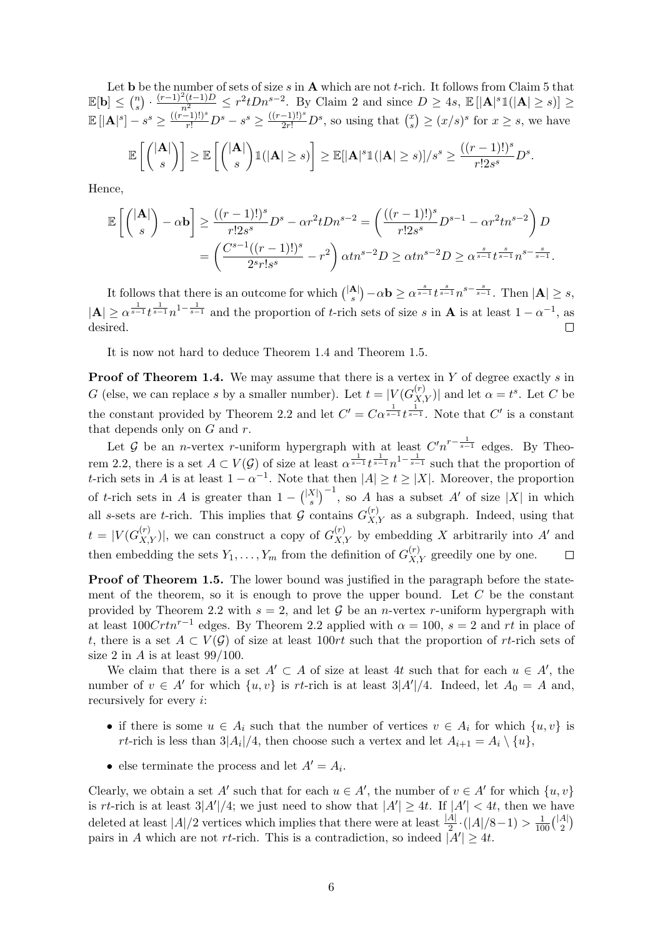Let **b** be the number of sets of size s in **A** which are not t-rich. It follows from Claim 5 that  $\mathbb{E}[\mathbf{b}] \leq {n \choose s}$  $\sum_{s=0}^{n} \frac{(r-1)^2(t-1)D}{n^2} \leq r^2 t D n^{s-2}$ . By Claim 2 and since  $D \geq 4s$ ,  $\mathbb{E}[|\mathbf{A}|^s \mathbb{1}(|\mathbf{A}| \geq s)] \geq$  $\mathbb{E}[|{\bf A}|^{s}] - s^{s} \ge \frac{((r-1)!)^{s}}{r!}D^{s} - s^{s} \ge \frac{((r-1)!)^{s}}{2r!}D^{s}$ , so using that  $\binom{x}{s}$  $s<sup>x</sup>$ <sub>s</sub> $\geq (x/s)<sup>s</sup>$  for  $x \geq s$ , we have  $_{\mathbb{E}} \left[ \left/ | \mathbf{A} | \right. \right]$  $\left[ \begin{matrix} \vert {\bf A} \vert \ s \end{matrix} \right] \geq \mathbb{E} \left[ \begin{pmatrix} \vert {\bf A} \vert \ s \end{pmatrix} \right]$ s  $\left[\ln(|\mathbf{A}| \geq s)\right] \geq \mathbb{E}[|\mathbf{A}|^s \mathbb{1}(|\mathbf{A}| \geq s)]/s^s \geq \frac{((r-1)!)^s}{\ln s}$  $rac{-1)!}{r!2s^s}D^s.$ 

Hence,

$$
\mathbb{E}\left[\binom{|\mathbf{A}|}{s} - \alpha \mathbf{b}\right] \ge \frac{((r-1)!)^s}{r!2s^s}D^s - \alpha r^2tDn^{s-2} = \left(\frac{((r-1)!)^s}{r!2s^s}D^{s-1} - \alpha r^2tn^{s-2}\right)D
$$

$$
= \left(\frac{C^{s-1}((r-1)!)^s}{2^sr!s^s} - r^2\right)\alpha tn^{s-2}D \ge \alpha tn^{s-2}D \ge \alpha \frac{s}{s-1}t^{\frac{s}{s-1}}n^{s-\frac{s}{s-1}}.
$$

 $s^{(A)}$  $\left(-\alpha \mathbf{b} \geq \alpha^{\frac{s}{s-1}} t^{\frac{s}{s-1}} n^{s-\frac{s}{s-1}}$ . Then  $|\mathbf{A}| \geq s$ , It follows that there is an outcome for which  $\binom{|\mathbf{A}|}{s}$  $|\mathbf{A}| \ge \alpha^{\frac{1}{s-1}} t^{\frac{1}{s-1}} n^{1-\frac{1}{s-1}}$  and the proportion of t-rich sets of size s in **A** is at least  $1-\alpha^{-1}$ , as desired. П

It is now not hard to deduce Theorem [1.4](#page-2-1) and Theorem [1.5.](#page-2-2)

**Proof of Theorem [1.4.](#page-2-1)** We may assume that there is a vertex in Y of degree exactly s in G (else, we can replace s by a smaller number). Let  $t = |V(G_{X,Y}^{(r)})|$  and let  $\alpha = t^s$ . Let C be the constant provided by Theorem [2.2](#page-3-1) and let  $C' = C\alpha^{\frac{1}{s-1}}t^{\frac{1}{s-1}}$ . Note that  $C'$  is a constant that depends only on  $G$  and  $r$ .

Let G be an *n*-vertex r-uniform hypergraph with at least  $C'n^{r-\frac{1}{s-1}}$  edges. By Theo-rem [2.2,](#page-3-1) there is a set  $A \subset V(G)$  of size at least  $\alpha^{\frac{1}{s-1}}t^{\frac{1}{s-1}}n^{1-\frac{1}{s-1}}$  such that the proportion of t-rich sets in A is at least  $1 - \alpha^{-1}$ . Note that then  $|A| \ge t \ge |X|$ . Moreover, the proportion  ${s^{(X)}_s}^{-1}$ , so A has a subset A' of size |X| in which of t-rich sets in A is greater than  $1 - {|\mathbf{X}| \choose s}$ all s-sets are t-rich. This implies that G contains  $G_{X,Y}^{(r)}$  as a subgraph. Indeed, using that  $t = |V(G_{X,Y}^{(r)})|$ , we can construct a copy of  $G_{X,Y}^{(r)}$  by embedding X arbitrarily into A' and then embedding the sets  $Y_1, \ldots, Y_m$  from the definition of  $G_{X,Y}^{(r)}$  greedily one by one.  $\Box$ 

**Proof of Theorem [1.5.](#page-2-2)** The lower bound was justified in the paragraph before the statement of the theorem, so it is enough to prove the upper bound. Let  $C$  be the constant provided by Theorem [2.2](#page-3-1) with  $s = 2$ , and let G be an *n*-vertex *r*-uniform hypergraph with at least  $100Crtn^{r-1}$  edges. By Theorem [2.2](#page-3-1) applied with  $\alpha = 100$ ,  $s = 2$  and rt in place of t, there is a set  $A \subset V(G)$  of size at least 100rt such that the proportion of rt-rich sets of size 2 in A is at least  $99/100$ .

We claim that there is a set  $A' \subset A$  of size at least 4t such that for each  $u \in A'$ , the number of  $v \in A'$  for which  $\{u, v\}$  is rt-rich is at least  $3|A'|/4$ . Indeed, let  $A_0 = A$  and, recursively for every i:

- if there is some  $u \in A_i$  such that the number of vertices  $v \in A_i$  for which  $\{u, v\}$  is rt-rich is less than  $3|A_i|/4$ , then choose such a vertex and let  $A_{i+1} = A_i \setminus \{u\}$ ,
- else terminate the process and let  $A' = A_i$ .

Clearly, we obtain a set A' such that for each  $u \in A'$ , the number of  $v \in A'$  for which  $\{u, v\}$ is rt-rich is at least  $3|A'|/4$ ; we just need to show that  $|A'| \geq 4t$ . If  $|A'| < 4t$ , then we have deleted at least  $|A|/2$  vertices which implies that there were at least  $\frac{|A|}{2} \cdot (|A|/8-1) > \frac{1}{100} {|\overline{A}| \choose 2}$  $\binom{A}{2}$ pairs in A which are not rt-rich. This is a contradiction, so indeed  $|A'| \geq 4t$ .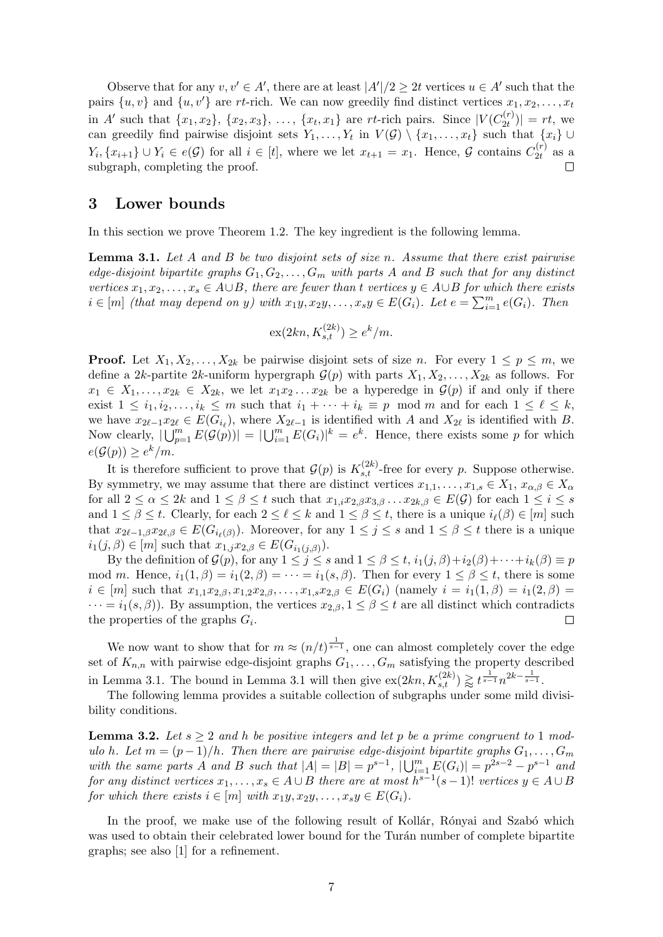Observe that for any  $v, v' \in A'$ , there are at least  $|A'|/2 \geq 2t$  vertices  $u \in A'$  such that the pairs  $\{u, v\}$  and  $\{u, v'\}$  are rt-rich. We can now greedily find distinct vertices  $x_1, x_2, \ldots, x_t$ in A' such that  $\{x_1, x_2\}$ ,  $\{x_2, x_3\}$ , ...,  $\{x_t, x_1\}$  are rt-rich pairs. Since  $|V(C_{2t}^{(r)})|$  $\binom{r}{2t}$  | =  $rt$ , we can greedily find pairwise disjoint sets  $Y_1, \ldots, Y_t$  in  $V(\mathcal{G}) \setminus \{x_1, \ldots, x_t\}$  such that  $\{x_i\} \cup$  $Y_i, \{x_{i+1}\} \cup Y_i \in e(\mathcal{G})$  for all  $i \in [t]$ , where we let  $x_{t+1} = x_1$ . Hence,  $\mathcal{G}$  contains  $C_{2t}^{(r)}$  $\binom{r}{2t}$  as a subgraph, completing the proof.

#### <span id="page-6-0"></span>3 Lower bounds

In this section we prove Theorem [1.2.](#page-1-1) The key ingredient is the following lemma.

<span id="page-6-1"></span>**Lemma 3.1.** Let A and B be two disjoint sets of size n. Assume that there exist pairwise edge-disjoint bipartite graphs  $G_1, G_2, \ldots, G_m$  with parts A and B such that for any distinct vertices  $x_1, x_2, \ldots, x_s \in A \cup B$ , there are fewer than t vertices  $y \in A \cup B$  for which there exists  $i \in [m]$  (that may depend on y) with  $x_1y, x_2y, \ldots, x_sy \in E(G_i)$ . Let  $e = \sum_{i=1}^m e(G_i)$ . Then

$$
\mathrm{ex}(2kn, K_{s,t}^{(2k)}) \ge e^k/m.
$$

**Proof.** Let  $X_1, X_2, \ldots, X_{2k}$  be pairwise disjoint sets of size n. For every  $1 \leq p \leq m$ , we define a 2k-partite 2k-uniform hypergraph  $\mathcal{G}(p)$  with parts  $X_1, X_2, \ldots, X_{2k}$  as follows. For  $x_1 \in X_1, \ldots, x_{2k} \in X_{2k}$ , we let  $x_1x_2 \ldots x_{2k}$  be a hyperedge in  $\mathcal{G}(p)$  if and only if there exist  $1 \leq i_1, i_2, \ldots, i_k \leq m$  such that  $i_1 + \cdots + i_k \equiv p \mod m$  and for each  $1 \leq \ell \leq k$ , we have  $x_{2\ell-1}x_{2\ell} \in E(G_{i_\ell}),$  where  $X_{2\ell-1}$  is identified with A and  $X_{2\ell}$  is identified with B. Now clearly,  $|\bigcup_{p=1}^m E(\mathcal{G}(p))| = |\bigcup_{i=1}^m E(G_i)|^k = e^k$ . Hence, there exists some p for which  $e(\mathcal{G}(p)) \geq e^k/m$ .

It is therefore sufficient to prove that  $\mathcal{G}(p)$  is  $K_{s,t}^{(2k)}$ -free for every p. Suppose otherwise. By symmetry, we may assume that there are distinct vertices  $x_{1,1}, \ldots, x_{1,s} \in X_1, x_{\alpha,\beta} \in X_\alpha$ for all  $2 \le \alpha \le 2k$  and  $1 \le \beta \le t$  such that  $x_{1,i}x_{2,\beta}x_{3,\beta} \ldots x_{2k,\beta} \in E(G)$  for each  $1 \le i \le s$ and  $1 \leq \beta \leq t$ . Clearly, for each  $2 \leq \ell \leq k$  and  $1 \leq \beta \leq t$ , there is a unique  $i_{\ell}(\beta) \in [m]$  such that  $x_{2\ell-1,\beta}x_{2\ell,\beta} \in E(G_{i_{\ell}(\beta)})$ . Moreover, for any  $1 \leq j \leq s$  and  $1 \leq \beta \leq t$  there is a unique  $i_1(j, \beta) \in [m]$  such that  $x_{1,j}x_{2,\beta} \in E(G_{i_1(j, \beta)})$ .

By the definition of  $\mathcal{G}(p)$ , for any  $1 \leq j \leq s$  and  $1 \leq \beta \leq t$ ,  $i_1(j, \beta) + i_2(\beta) + \cdots + i_k(\beta) \equiv p$ mod m. Hence,  $i_1(1, \beta) = i_1(2, \beta) = \cdots = i_1(s, \beta)$ . Then for every  $1 \leq \beta \leq t$ , there is some  $i \in [m]$  such that  $x_{1,1}x_{2,\beta}, x_{1,2}x_{2,\beta}, \ldots, x_{1,s}x_{2,\beta} \in E(G_i)$  (namely  $i = i_1(1,\beta) = i_1(2,\beta) = i_1(3,\beta)$ )  $\cdots = i_1(s, \beta)$ . By assumption, the vertices  $x_{2,\beta}, 1 \leq \beta \leq t$  are all distinct which contradicts the properties of the graphs  $G_i$ .  $\Box$ 

We now want to show that for  $m \approx (n/t)^{\frac{1}{s-1}}$ , one can almost completely cover the edge set of  $K_{n,n}$  with pairwise edge-disjoint graphs  $G_1, \ldots, G_m$  satisfying the property described in Lemma [3.1.](#page-6-1) The bound in Lemma [3.1](#page-6-1) will then give  $\exp(2kn, K_{s,t}^{(2k)}) \gtrapprox t^{\frac{1}{s-1}} n^{2k-\frac{1}{s-1}}$ .

The following lemma provides a suitable collection of subgraphs under some mild divisibility conditions.

<span id="page-6-2"></span>**Lemma 3.2.** Let  $s \geq 2$  and h be positive integers and let p be a prime congruent to 1 modulo h. Let  $m = (p-1)/h$ . Then there are pairwise edge-disjoint bipartite graphs  $G_1, \ldots, G_m$ with the same parts A and B such that  $|A| = |B| = p^{s-1}$ ,  $|\bigcup_{i=1}^{m} E(G_i)| = p^{2s-2} - p^{s-1}$  and for any distinct vertices  $x_1, \ldots, x_s \in A \cup B$  there are at most  $h^{s-1}(s-1)!$  vertices  $y \in A \cup B$ for which there exists  $i \in [m]$  with  $x_1y, x_2y, \ldots, x_sy \in E(G_i)$ .

In the proof, we make use of the following result of Kollár, Rónyai and Szabó which was used to obtain their celebrated lower bound for the Turán number of complete bipartite graphs; see also [\[1\]](#page-12-2) for a refinement.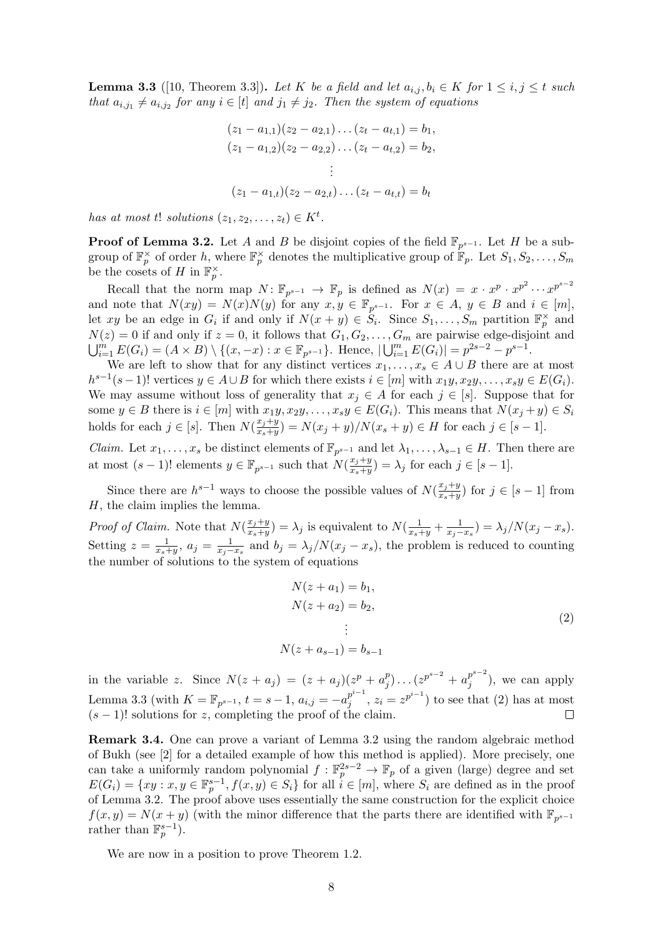<span id="page-7-0"></span>**Lemma 3.3** ([\[10,](#page-13-14) Theorem 3.3]). Let K be a field and let  $a_{i,j}$ ,  $b_i \in K$  for  $1 \leq i, j \leq t$  such that  $a_{i,j_1} \neq a_{i,j_2}$  for any  $i \in [t]$  and  $j_1 \neq j_2$ . Then the system of equations

$$
(z_1 - a_{1,1})(z_2 - a_{2,1}) \dots (z_t - a_{t,1}) = b_1,
$$
  
\n
$$
(z_1 - a_{1,2})(z_2 - a_{2,2}) \dots (z_t - a_{t,2}) = b_2,
$$
  
\n
$$
\vdots
$$
  
\n
$$
(z_1 - a_{1,t})(z_2 - a_{2,t}) \dots (z_t - a_{t,t}) = b_t
$$

has at most t! solutions  $(z_1, z_2, \ldots, z_t) \in K^t$ .

**Proof of Lemma [3.2.](#page-6-2)** Let A and B be disjoint copies of the field  $\mathbb{F}_{p^{s-1}}$ . Let H be a subgroup of  $\mathbb{F}_p^{\times}$  of order h, where  $\mathbb{F}_p^{\times}$  denotes the multiplicative group of  $\mathbb{F}_p$ . Let  $S_1, S_2, \ldots, S_m$ be the cosets of H in  $\mathbb{F}_p^{\times}$ .

Recall that the norm map  $N: \mathbb{F}_{p^{s-1}} \to \mathbb{F}_p$  is defined as  $N(x) = x \cdot x^p \cdot x^{p^2} \cdots x^{p^{s-2}}$ and note that  $N(xy) = N(x)N(y)$  for any  $x, y \in \mathbb{F}_{p^{s-1}}$ . For  $x \in A, y \in B$  and  $i \in [m]$ , let xy be an edge in  $G_i$  if and only if  $N(x + y) \in S_i$ . Since  $S_1, \ldots, S_m$  partition  $\mathbb{F}_p^{\times}$  and  $N(z) = 0$  if and only if  $z = 0$ , it follows that  $G_1, G_2, \ldots, G_m$  are pairwise edge-disjoint and  $\bigcup_{i=1}^{m} E(G_i) = (A \times B) \setminus \{(x, -x) : x \in \mathbb{F}_{p^{s-1}}\}.$  Hence,  $|\bigcup_{i=1}^{m} E(G_i)| = p^{2s-2} - p^{s-1}.$ 

We are left to show that for any distinct vertices  $x_1, \ldots, x_s \in A \cup B$  there are at most  $h^{s-1}(s-1)!$  vertices  $y \in A \cup B$  for which there exists  $i \in [m]$  with  $x_1y, x_2y, \ldots, x_sy \in E(G_i)$ . We may assume without loss of generality that  $x_j \in A$  for each  $j \in [s]$ . Suppose that for some  $y \in B$  there is  $i \in [m]$  with  $x_1y, x_2y, \ldots, x_sy \in E(G_i)$ . This means that  $N(x_j + y) \in S_i$ holds for each  $j \in [s]$ . Then  $N(\frac{x_j+y_j}{x_j+y_j})$  $\frac{x_j+y}{x_s+y}$  =  $N(x_j + y)/N(x_s + y) \in H$  for each  $j \in [s - 1]$ .

*Claim.* Let  $x_1, \ldots, x_s$  be distinct elements of  $\mathbb{F}_{p^{s-1}}$  and let  $\lambda_1, \ldots, \lambda_{s-1} \in H$ . Then there are at most  $(s-1)!$  elements  $y \in \mathbb{F}_{p^{s-1}}$  such that  $N(\frac{x_j+y_j}{x_{s+1}})$  $(\frac{x_j+y}{x_s+y}) = \lambda_j$  for each  $j \in [s-1]$ .

Since there are  $h^{s-1}$  ways to choose the possible values of  $N(\frac{x_j+y_j}{x_{j+1}})$  $\frac{x_j+y}{x_s+y}$  for  $j \in [s-1]$  from  $H$ , the claim implies the lemma.

*Proof of Claim.* Note that  $N(\frac{x_j+y_j}{x_{j+1}})$  $\frac{x_j+y}{x_s+y}$  =  $\lambda_j$  is equivalent to  $N(\frac{1}{x_s+y}+\frac{1}{x_j-x_s}) = \lambda_j/N(x_j-x_s)$ . Setting  $z=\frac{1}{x-1}$  $\frac{1}{x_s+y}$ ,  $a_j = \frac{1}{x_j-x_s}$  and  $b_j = \lambda_j/N(x_j-x_s)$ , the problem is reduced to counting the number of solutions to the system of equations

<span id="page-7-1"></span>
$$
N(z + a_1) = b_1,\nN(z + a_2) = b_2,\n\vdots\nN(z + a_{s-1}) = b_{s-1}
$$
\n(2)

in the variable z. Since  $N(z + a_j) = (z + a_j)(z^p + a_j^p)$  $\binom{p}{j}$ ... $(z^{p^{s-2}} + a_j^{p^{s-2}})$  $j^{p^e}$ ), we can apply Lemma [3.3](#page-7-0) (with  $K = \mathbb{F}_{p^{s-1}},\, t = s-1,\, a_{i,j} = -a_j^{p^{i-1}}$  $j^{p^{i-1}}$ ,  $z_i = z^{p^{i-1}}$ ) to see that [\(2\)](#page-7-1) has at most  $(s - 1)!$  solutions for z, completing the proof of the claim.

Remark 3.4. One can prove a variant of Lemma [3.2](#page-6-2) using the random algebraic method of Bukh (see [\[2\]](#page-12-0) for a detailed example of how this method is applied). More precisely, one can take a uniformly random polynomial  $f: \mathbb{F}_p^{2s-2} \to \mathbb{F}_p$  of a given (large) degree and set  $E(G_i) = \{xy : x, y \in \mathbb{F}_p^{s-1}, f(x, y) \in S_i\}$  for all  $i \in [m]$ , where  $S_i$  are defined as in the proof of Lemma [3.2.](#page-6-2) The proof above uses essentially the same construction for the explicit choice  $f(x, y) = N(x + y)$  (with the minor difference that the parts there are identified with  $\mathbb{F}_{p^{s-1}}$ rather than  $\mathbb{F}_p^{s-1}$ ).

We are now in a position to prove Theorem [1.2.](#page-1-1)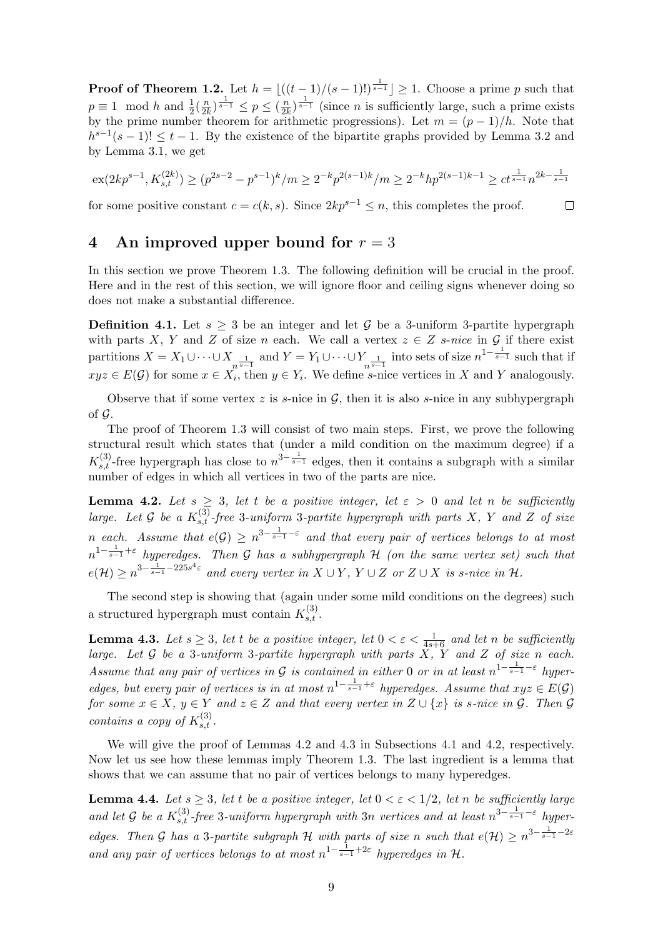**Proof of Theorem [1.2.](#page-1-1)** Let  $h = |((t - 1)/(s - 1)!)^{\frac{1}{s - 1}}| \geq 1$ . Choose a prime p such that  $p \equiv 1 \mod h$  and  $\frac{1}{2}(\frac{n}{2l})$  $\frac{n}{2k}$ ) $\frac{1}{s-1} \leq p \leq (\frac{n}{2k})$  $\frac{n}{2k}$ )<sup> $\frac{1}{s-1}$ </sup> (since *n* is sufficiently large, such a prime exists by the prime number theorem for arithmetic progressions). Let  $m = (p-1)/h$ . Note that  $h^{s-1}(s-1)! \leq t-1$ . By the existence of the bipartite graphs provided by Lemma [3.2](#page-6-2) and by Lemma [3.1,](#page-6-1) we get

$$
\operatorname{ex}(2kp^{s-1},K_{s,t}^{(2k)}) \ge (p^{2s-2}-p^{s-1})^k/m \ge 2^{-k}p^{2(s-1)k}/m \ge 2^{-k}hp^{2(s-1)k-1} \ge ct^{\frac{1}{s-1}}n^{2k-\frac{1}{s-1}}
$$

 $\Box$ 

for some positive constant  $c = c(k, s)$ . Since  $2kp^{s-1} \leq n$ , this completes the proof.

# <span id="page-8-0"></span>4 An improved upper bound for  $r = 3$

In this section we prove Theorem [1.3.](#page-2-0) The following definition will be crucial in the proof. Here and in the rest of this section, we will ignore floor and ceiling signs whenever doing so does not make a substantial difference.

**Definition 4.1.** Let  $s > 3$  be an integer and let G be a 3-uniform 3-partite hypergraph with parts X, Y and Z of size n each. We call a vertex  $z \in Z$  s-nice in G if there exist partitions  $X = X_1 \cup \cdots \cup X_{n^{\frac{1}{s-1}}}$  and  $Y = Y_1 \cup \cdots \cup Y_{n^{\frac{1}{s-1}}}$  into sets of size  $n^{1-\frac{1}{s-1}}$  such that if  $xyz \in E(G)$  for some  $x \in X_i$ , then  $y \in Y_i$ . We define s-nice vertices in X and Y analogously.

Observe that if some vertex z is s-nice in  $\mathcal{G}$ , then it is also s-nice in any subhypergraph of  $\mathcal G$ .

The proof of Theorem [1.3](#page-2-0) will consist of two main steps. First, we prove the following structural result which states that (under a mild condition on the maximum degree) if a  $K_{s,t}^{(3)}$ -free hypergraph has close to  $n^{3-\frac{1}{s-1}}$  edges, then it contains a subgraph with a similar number of edges in which all vertices in two of the parts are nice.

<span id="page-8-1"></span>**Lemma 4.2.** Let  $s \geq 3$ , let t be a positive integer, let  $\varepsilon > 0$  and let n be sufficiently large. Let G be a  $K_{s,t}^{(3)}$ -free 3-uniform 3-partite hypergraph with parts X, Y and Z of size n each. Assume that  $e(G) \geq n^{3-\frac{1}{s-1}-\varepsilon}$  and that every pair of vertices belongs to at most  $n^{1-\frac{1}{s-1}+\varepsilon}$  hyperedges. Then G has a subhypergraph H (on the same vertex set) such that  $e(\mathcal{H}) \geq n^{3 - \frac{1}{s-1} - 225s^4\varepsilon}$  and every vertex in  $X \cup Y$ ,  $Y \cup Z$  or  $Z \cup X$  is s-nice in  $\mathcal{H}$ .

The second step is showing that (again under some mild conditions on the degrees) such a structured hypergraph must contain  $K_{s,t}^{(3)}$ .

<span id="page-8-2"></span>**Lemma 4.3.** Let  $s \geq 3$ , let t be a positive integer, let  $0 < \varepsilon < \frac{1}{4s+6}$  and let n be sufficiently large. Let  $G$  be a 3-uniform 3-partite hypergraph with parts  $X$ ,  $Y$  and  $Z$  of size n each. Assume that any pair of vertices in G is contained in either 0 or in at least  $n^{1-\frac{1}{s-1}-\varepsilon}$  hyperedges, but every pair of vertices is in at most  $n^{1-\frac{1}{s-1}+\varepsilon}$  hyperedges. Assume that  $xyz \in E(G)$ for some  $x \in X$ ,  $y \in Y$  and  $z \in Z$  and that every vertex in  $Z \cup \{x\}$  is s-nice in  $\mathcal{G}$ . Then  $\mathcal{G}$ contains a copy of  $K_{s,t}^{(3)}$ .

We will give the proof of Lemmas [4.2](#page-8-1) and [4.3](#page-8-2) in Subsections [4.1](#page-9-0) and [4.2,](#page-11-0) respectively. Now let us see how these lemmas imply Theorem [1.3.](#page-2-0) The last ingredient is a lemma that shows that we can assume that no pair of vertices belongs to many hyperedges.

<span id="page-8-3"></span>**Lemma 4.4.** Let  $s \geq 3$ , let t be a positive integer, let  $0 < \varepsilon < 1/2$ , let n be sufficiently large and let G be a  $K_{s,t}^{(3)}$ -free 3-uniform hypergraph with 3n vertices and at least  $n^{3-\frac{1}{s-1}-\varepsilon}$  hyperedges. Then G has a 3-partite subgraph H with parts of size n such that  $e(\mathcal{H}) \geq n^{3-\frac{1}{s-1}-2\varepsilon}$ and any pair of vertices belongs to at most  $n^{1-\frac{1}{s-1}+2\varepsilon}$  hyperedges in H.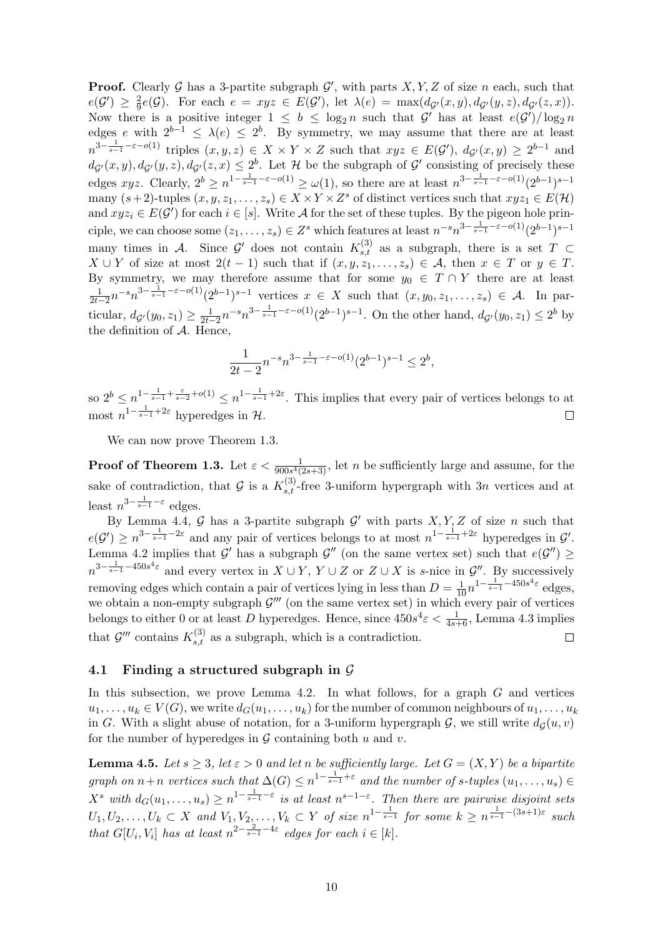**Proof.** Clearly G has a 3-partite subgraph  $\mathcal{G}'$ , with parts  $X, Y, Z$  of size n each, such that  $e(\mathcal{G}') \geq \frac{2}{9}$  $\frac{2}{9}e(\mathcal{G})$ . For each  $e = xyz \in E(\mathcal{G}')$ , let  $\lambda(e) = \max(d_{\mathcal{G}'}(x, y), d_{\mathcal{G}'}(y, z), d_{\mathcal{G}'}(z, x)).$ Now there is a positive integer  $1 \leq b \leq \log_2 n$  such that  $\mathcal{G}'$  has at least  $e(\mathcal{G}')/\log_2 n$ edges e with  $2^{b-1} \leq \lambda(e) \leq 2^b$ . By symmetry, we may assume that there are at least  $n^{3-\frac{1}{s-1}-\varepsilon-o(1)}$  triples  $(x, y, z) \in X \times Y \times Z$  such that  $xyz \in E(G')$ ,  $d_{\mathcal{G}'}(x, y) \geq 2^{b-1}$  and  $d_{\mathcal{G}}(x,y), d_{\mathcal{G}}(y,z), d_{\mathcal{G}}(z,x) \leq 2^b$ . Let H be the subgraph of  $\mathcal{G}'$  consisting of precisely these edges  $xyz$ . Clearly,  $2^b \ge n^{1-\frac{1}{s-1}-\varepsilon-o(1)} \ge \omega(1)$ , so there are at least  $n^{3-\frac{1}{s-1}-\varepsilon-o(1)}(2^{b-1})^{s-1}$ many  $(s+2)$ -tuples  $(x, y, z_1, \ldots, z_s) \in X \times Y \times Z^s$  of distinct vertices such that  $xyz_1 \in E(H)$ and  $xyz_i \in E(G')$  for each  $i \in [s]$ . Write A for the set of these tuples. By the pigeon hole principle, we can choose some  $(z_1, \ldots, z_s) \in Z^s$  which features at least  $n^{-s} n^{3 - \frac{1}{s-1} - \varepsilon - o(1)} (2^{b-1})^{s-1}$ many times in A. Since  $\mathcal{G}'$  does not contain  $K_{s,t}^{(3)}$  as a subgraph, there is a set  $T \subset$  $X \cup Y$  of size at most  $2(t-1)$  such that if  $(x, y, z_1, \ldots, z_s) \in A$ , then  $x \in T$  or  $y \in T$ . By symmetry, we may therefore assume that for some  $y_0 \in T \cap Y$  there are at least  $\frac{1}{2t-2}n^{-s}n^{3-\frac{1}{s-1}-\varepsilon-o(1)}(2^{b-1})^{s-1}$  vertices  $x \in X$  such that  $(x, y_0, z_1, \ldots, z_s) \in \mathcal{A}$ . In particular,  $d_{\mathcal{G}}(y_0, z_1) \geq \frac{1}{2t-2} n^{-s} n^{3-\frac{1}{s-1}-\varepsilon-o(1)} (2^{b-1})^{s-1}$ . On the other hand,  $d_{\mathcal{G}}(y_0, z_1) \leq 2^b$  by the definition of  $A$ . Hence,

$$
\frac{1}{2t-2}n^{-s}n^{3-\frac{1}{s-1}-\varepsilon-o(1)}(2^{b-1})^{s-1} \le 2^b,
$$

so  $2^b \leq n^{1-\frac{1}{s-1}+\frac{\varepsilon}{s-2}+o(1)} \leq n^{1-\frac{1}{s-1}+2\varepsilon}$ . This implies that every pair of vertices belongs to at most  $n^{1-\frac{1}{s-1}+2\varepsilon}$  hyperedges in  $\mathcal{H}$ .  $\Box$ 

We can now prove Theorem [1.3.](#page-2-0)

**Proof of Theorem [1.3.](#page-2-0)** Let  $\varepsilon < \frac{1}{900s^4(2s+3)}$ , let n be sufficiently large and assume, for the sake of contradiction, that G is a  $K_{s,t}^{(3)}$ -free 3-uniform hypergraph with 3n vertices and at least  $n^{3-\frac{1}{s-1}-\varepsilon}$  edges.

By Lemma [4.4,](#page-8-3) G has a 3-partite subgraph  $\mathcal{G}'$  with parts  $X, Y, Z$  of size n such that  $e(G') \geq n^{3-\frac{1}{s-1}-2\varepsilon}$  and any pair of vertices belongs to at most  $n^{1-\frac{1}{s-1}+2\varepsilon}$  hyperedges in  $\mathcal{G}'$ . Lemma [4.2](#page-8-1) implies that  $\mathcal{G}'$  has a subgraph  $\mathcal{G}''$  (on the same vertex set) such that  $e(\mathcal{G}'') \geq$  $n^{3-\frac{1}{s-1}-450s^4\varepsilon}$  and every vertex in  $X \cup Y$ ,  $Y \cup Z$  or  $Z \cup X$  is s-nice in  $\mathcal{G}''$ . By successively removing edges which contain a pair of vertices lying in less than  $D = \frac{1}{10} n^{1 - \frac{1}{s-1} - 450s^4 \varepsilon}$  edges, we obtain a non-empty subgraph  $\mathcal{G}'''$  (on the same vertex set) in which every pair of vertices belongs to either 0 or at least D hyperedges. Hence, since  $450s^4\varepsilon < \frac{1}{4s+6}$ , Lemma [4.3](#page-8-2) implies that  $\mathcal{G}'''$  contains  $K_{s,t}^{(3)}$  as a subgraph, which is a contradiction.  $\Box$ 

#### <span id="page-9-0"></span>4.1 Finding a structured subgraph in  $\mathcal G$

In this subsection, we prove Lemma [4.2.](#page-8-1) In what follows, for a graph  $G$  and vertices  $u_1, \ldots, u_k \in V(G)$ , we write  $d_G(u_1, \ldots, u_k)$  for the number of common neighbours of  $u_1, \ldots, u_k$ in G. With a slight abuse of notation, for a 3-uniform hypergraph  $\mathcal{G}$ , we still write  $d_{\mathcal{G}}(u, v)$ for the number of hyperedges in  $G$  containing both  $u$  and  $v$ .

<span id="page-9-1"></span>**Lemma 4.5.** Let  $s \geq 3$ , let  $\varepsilon > 0$  and let n be sufficiently large. Let  $G = (X, Y)$  be a bipartite graph on  $n+n$  vertices such that  $\Delta(G) \leq n^{1-\frac{1}{s-1}+\varepsilon}$  and the number of s-tuples  $(u_1,\ldots,u_s) \in$  $X^s$  with  $d_G(u_1,\ldots,u_s) \geq n^{1-\frac{1}{s-1}-\varepsilon}$  is at least  $n^{s-1-\varepsilon}$ . Then there are pairwise disjoint sets  $U_1, U_2, \ldots, U_k \subset X$  and  $V_1, V_2, \ldots, V_k \subset Y$  of size  $n^{1-\frac{1}{s-1}}$  for some  $k \geq n^{\frac{1}{s-1}-(3s+1)\varepsilon}$  such that  $G[U_i, V_i]$  has at least  $n^{2-\frac{2}{s-1}-4\varepsilon}$  edges for each  $i \in [k]$ .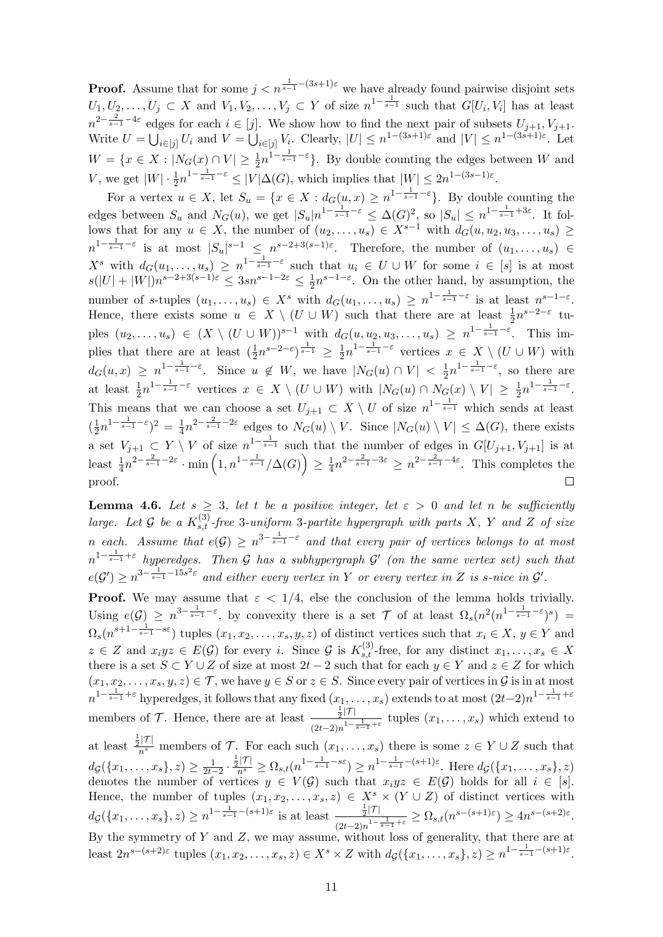**Proof.** Assume that for some  $j < n^{\frac{1}{s-1}-(3s+1)\varepsilon}$  we have already found pairwise disjoint sets  $U_1, U_2, \ldots, U_j \subset X$  and  $V_1, V_2, \ldots, V_j \subset Y$  of size  $n^{1-\frac{1}{s-1}}$  such that  $G[U_i, V_i]$  has at least  $n^{2-\frac{2}{s-1}-4\varepsilon}$  edges for each  $i \in [j]$ . We show how to find the next pair of subsets  $U_{j+1}, V_{j+1}$ . Write  $U = \bigcup_{i \in [j]} U_i$  and  $V = \bigcup_{i \in [j]} V_i$ . Clearly,  $|U| \leq n^{1-(3s+1)\varepsilon}$  and  $|V| \leq n^{1-(3s+1)\varepsilon}$ . Let  $W = \{x \in X : |N_G(x) \cap V| \geq \frac{1}{2} n^{1 - \frac{1}{s-1} - \varepsilon} \}.$  By double counting the edges between W and V, we get  $|W| \cdot \frac{1}{2} n^{1-\frac{1}{s-1}-\varepsilon} \leq |V| \Delta(G)$ , which implies that  $|W| \leq 2n^{1-(3s-1)\varepsilon}$ .

For a vertex  $u \in X$ , let  $S_u = \{x \in X : d_G(u, x) \geq n^{1 - \frac{1}{s-1} - \varepsilon}\}$ . By double counting the edges between  $S_u$  and  $N_G(u)$ , we get  $|S_u|n^{1-\frac{1}{s-1}-\varepsilon} \leq \Delta(G)^2$ , so  $|S_u| \leq n^{1-\frac{1}{s-1}+3\varepsilon}$ . It follows that for any  $u \in X$ , the number of  $(u_2, \ldots, u_s) \in X^{s-1}$  with  $d_G(u, u_2, u_3, \ldots, u_s) \ge$  $n^{1-\frac{1}{s-1}-\varepsilon}$  is at most  $|S_u|^{s-1} \leq n^{s-2+3(s-1)\varepsilon}$ . Therefore, the number of  $(u_1,\ldots,u_s)$  $X^s$  with  $d_G(u_1,\ldots,u_s) \geq n^{1-\frac{1}{s-1}-\varepsilon}$  such that  $u_i \in U \cup W$  for some  $i \in [s]$  is at most  $s(|U|+|W|)n^{s-2+3(s-1)\varepsilon} \leq 3sn^{s-1-2\varepsilon} \leq \frac{1}{2}$  $\frac{1}{2}n^{s-1-\epsilon}$ . On the other hand, by assumption, the number of s-tuples  $(u_1,\ldots,u_s) \in X^s$  with  $d_G(u_1,\ldots,u_s) \geq n^{1-\frac{1}{s-1}-\varepsilon}$  is at least  $n^{s-1-\varepsilon}$ . Hence, there exists some  $u \in X \setminus (U \cup W)$  such that there are at least  $\frac{1}{2}n^{s-2-\epsilon}$  tuples  $(u_2,\ldots,u_s) \in (X \setminus (U \cup W))^{s-1}$  with  $d_G(u,u_2,u_3,\ldots,u_s) \geq n^{1-\frac{1}{s-1}-\varepsilon}$ . This implies that there are at least  $(\frac{1}{2}n^{s-2-\varepsilon})^{\frac{1}{s-1}} \geq \frac{1}{2}$  $\frac{1}{2}n^{1-\frac{1}{s-1}-\varepsilon}$  vertices  $x \in X \setminus (U \cup W)$  with  $d_G(u,x) \geq n^{1-\frac{1}{s-1}-\varepsilon}$ . Since  $u \notin W$ , we have  $|N_G(u) \cap V| < \frac{1}{2}$  $\frac{1}{2}n^{1-\frac{1}{s-1}-\varepsilon}$ , so there are at least  $\frac{1}{2}n^{1-\frac{1}{s-1}-\varepsilon}$  vertices  $x \in X \setminus (U \cup W)$  with  $|N_G(u) \cap N_G(x) \setminus V| \geq \frac{1}{2}n^{1-\frac{1}{s-1}-\varepsilon}$ . This means that we can choose a set  $U_{j+1} \subset X \setminus U$  of size  $n^{1-\frac{1}{s-1}}$  which sends at least  $\frac{1}{2}n^{1-\frac{1}{s-1}-\varepsilon}$ <sup>2</sup> =  $\frac{1}{4}$  $\frac{1}{4}n^{2-\frac{2}{s-1}-2\varepsilon}$  edges to  $N_G(u) \setminus V$ . Since  $|N_G(u) \setminus V| \leq \Delta(G)$ , there exists  $\left(\frac{1}{2}\right)$ a set  $V_{j+1} \subset Y \setminus V$  of size  $n^{1-\frac{1}{s-1}}$  such that the number of edges in  $G[U_{j+1}, V_{j+1}]$  is at least  $\frac{1}{4}n^{2-\frac{2}{s-1}-2\varepsilon} \cdot \min\left(1, n^{1-\frac{1}{s-1}}/\Delta(G)\right) \geq \frac{1}{4}$  $\frac{1}{4}n^{2-\frac{2}{s-1}-3\varepsilon} \geq n^{2-\frac{2}{s-1}-4\varepsilon}$ . This completes the proof.  $\Box$ 

<span id="page-10-0"></span>**Lemma 4.6.** Let  $s \geq 3$ , let t be a positive integer, let  $\varepsilon > 0$  and let n be sufficiently large. Let G be a  $K_{s,t}^{(3)}$ -free 3-uniform 3-partite hypergraph with parts X, Y and Z of size n each. Assume that  $e(G) \geq n^{3-\frac{1}{s-1}-\varepsilon}$  and that every pair of vertices belongs to at most  $n^{1-\frac{1}{s-1}+\varepsilon}$  hyperedges. Then G has a subhypergraph G' (on the same vertex set) such that  $e(\mathcal{G}') \geq n^{3 - \frac{1}{s-1} - 15s^2\varepsilon}$  and either every vertex in Y or every vertex in Z is s-nice in  $\mathcal{G}'$ .

**Proof.** We may assume that  $\varepsilon < 1/4$ , else the conclusion of the lemma holds trivially. Using  $e(\mathcal{G}) \geq n^{3-\frac{1}{s-1}-\varepsilon}$ , by convexity there is a set  $\mathcal T$  of at least  $\Omega_s(n^2(n^{1-\frac{1}{s-1}-\varepsilon})^s)$  $\Omega_s(n^{s+1-\frac{1}{s-1}-s\varepsilon})$  tuples  $(x_1, x_2, \ldots, x_s, y, z)$  of distinct vertices such that  $x_i \in X, y \in Y$  and  $z \in Z$  and  $x_i y z \in E(\mathcal{G})$  for every i. Since  $\mathcal{G}$  is  $K_{s,t}^{(3)}$ -free, for any distinct  $x_1, \ldots, x_s \in X$ there is a set  $S \subset Y \cup Z$  of size at most  $2t - 2$  such that for each  $y \in Y$  and  $z \in Z$  for which  $(x_1, x_2, \ldots, x_s, y, z) \in \mathcal{T}$ , we have  $y \in S$  or  $z \in S$ . Since every pair of vertices in  $\mathcal{G}$  is in at most  $n^{1-\frac{1}{s-1}+\varepsilon}$  hyperedges, it follows that any fixed  $(x_1,\ldots,x_s)$  extends to at most  $(2t-2)n^{1-\frac{1}{s-1}+\varepsilon}$ members of  $\mathcal{T}$ . Hence, there are at least  $\frac{\frac{1}{2}|\mathcal{T}|}{\frac{1}{2}|\mathcal{T}|}$  $\frac{\frac{1}{2} |t|}{(2t-2)n^{1-\frac{1}{s-1}+\varepsilon}}$  tuples  $(x_1,\ldots,x_s)$  which extend to at least  $\frac{\frac{1}{2}|\mathcal{T}|}{n^s}$  members of  $\mathcal{T}$ . For each such  $(x_1,\ldots,x_s)$  there is some  $z \in Y \cup Z$  such that  $d_{\mathcal{G}}(\{x_1, \ldots, x_s\}, z) \geq \frac{1}{2t-2} \cdot \frac{\frac{1}{2}|\mathcal{T}|}{n^s} \geq \Omega_{s,t}(n^{1-\frac{1}{s-1}-s\varepsilon}) \geq n^{1-\frac{1}{s-1}-(s+1)\varepsilon}$ . Here  $d_{\mathcal{G}}(\{x_1, \ldots, x_s\}, z)$ 

denotes the number of vertices  $y \in V(\mathcal{G})$  such that  $x_i y z \in E(\mathcal{G})$  holds for all  $i \in [s]$ . Hence, the number of tuples  $(x_1, x_2, \ldots, x_s, z) \in X^s \times (Y \cup Z)$  of distinct vertices with  $dg(\lbrace x_1,\ldots,x_s\rbrace,z) \geq n^{1-\frac{1}{s-1}-(s+1)\varepsilon}$  is at least  $\frac{\frac{1}{2}|\mathcal{T}|}{1-\frac{1}{s-1}}$  $\frac{\frac{1}{2}|I|}{(2t-2)n^{1-\frac{1}{s-1}+\varepsilon}} \geq \Omega_{s,t}(n^{s-(s+1)\varepsilon}) \geq 4n^{s-(s+2)\varepsilon}.$ 

By the symmetry of  $Y$  and  $Z$ , we may assume, without loss of generality, that there are at least  $2n^{s-(s+2)\varepsilon}$  tuples  $(x_1, x_2, \ldots, x_s, z) \in X^s \times Z$  with  $d_{\mathcal{G}}(\{x_1, \ldots, x_s\}, z) \geq n^{1-\frac{1}{s-1}-(s+1)\varepsilon}$ .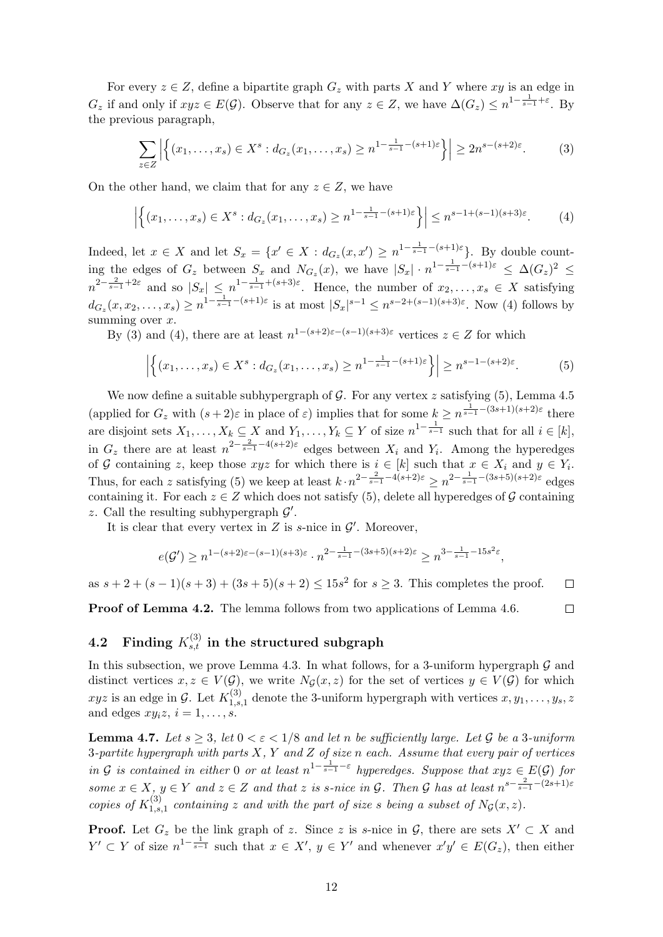For every  $z \in Z$ , define a bipartite graph  $G_z$  with parts X and Y where xy is an edge in  $G_z$  if and only if  $xyz \in E(\mathcal{G})$ . Observe that for any  $z \in Z$ , we have  $\Delta(G_z) \leq n^{1-\frac{1}{s-1}+\varepsilon}$ . By the previous paragraph,

<span id="page-11-2"></span>
$$
\sum_{z \in Z} \left| \left\{ (x_1, \dots, x_s) \in X^s : d_{G_z}(x_1, \dots, x_s) \ge n^{1 - \frac{1}{s - 1} - (s + 1)\varepsilon} \right\} \right| \ge 2n^{s - (s + 2)\varepsilon}.
$$
 (3)

On the other hand, we claim that for any  $z \in Z$ , we have

<span id="page-11-1"></span>
$$
\left| \left\{ (x_1, \dots, x_s) \in X^s : d_{G_z}(x_1, \dots, x_s) \ge n^{1 - \frac{1}{s - 1} - (s + 1)\varepsilon} \right\} \right| \le n^{s - 1 + (s - 1)(s + 3)\varepsilon}.
$$
 (4)

Indeed, let  $x \in X$  and let  $S_x = \{x' \in X : d_{G_z}(x, x') \ge n^{1 - \frac{1}{s-1} - (s+1)\varepsilon}\}\.$  By double counting the edges of  $G_z$  between  $S_x$  and  $N_{G_z}(x)$ , we have  $|S_x| \cdot n^{1-\frac{1}{s-1}-(s+1)\varepsilon} \leq \Delta(G_z)^2$  $n^{2-\frac{2}{s-1}+2\varepsilon}$  and so  $|S_x| \leq n^{1-\frac{1}{s-1}+(s+3)\varepsilon}$ . Hence, the number of  $x_2,\ldots,x_s \in X$  satisfying  $d_{G_z}(x, x_2, \ldots, x_s) \ge n^{1 - \frac{1}{s-1} - (s+1)\varepsilon}$  is at most  $|S_x|^{s-1} \le n^{s-2+(s-1)(s+3)\varepsilon}$ . Now [\(4\)](#page-11-1) follows by summing over  $x$ .

By [\(3\)](#page-11-2) and [\(4\)](#page-11-1), there are at least  $n^{1-(s+2)\varepsilon-(s-1)(s+3)\varepsilon}$  vertices  $z \in Z$  for which

<span id="page-11-3"></span>
$$
\left| \left\{ (x_1, \ldots, x_s) \in X^s : d_{G_z}(x_1, \ldots, x_s) \ge n^{1 - \frac{1}{s-1} - (s+1)\varepsilon} \right\} \right| \ge n^{s-1 - (s+2)\varepsilon}.
$$
 (5)

We now define a suitable subhypergraph of  $G$ . For any vertex  $z$  satisfying [\(5\)](#page-11-3), Lemma [4.5](#page-9-1) (applied for  $G_z$  with  $(s+2)\varepsilon$  in place of  $\varepsilon$ ) implies that for some  $k \geq n^{\frac{1}{s-1}-(3s+1)(s+2)\varepsilon}$  there are disjoint sets  $X_1, \ldots, X_k \subseteq X$  and  $Y_1, \ldots, Y_k \subseteq Y$  of size  $n^{1-\frac{1}{s-1}}$  such that for all  $i \in [k]$ , in  $G_z$  there are at least  $n^{2-\frac{2}{s-1}-4(s+2)\varepsilon}$  edges between  $X_i$  and  $Y_i$ . Among the hyperedges of G containing z, keep those  $xyz$  for which there is  $i \in [k]$  such that  $x \in X_i$  and  $y \in Y_i$ . Thus, for each z satisfying [\(5\)](#page-11-3) we keep at least  $k \cdot n^{2-\frac{2}{s-1}-4(s+2)\varepsilon} \geq n^{2-\frac{1}{s-1}-(3s+5)(s+2)\varepsilon}$  edges containing it. For each  $z \in Z$  which does not satisfy [\(5\)](#page-11-3), delete all hyperedges of G containing z. Call the resulting subhypergraph  $\mathcal{G}'$ .

It is clear that every vertex in  $Z$  is s-nice in  $\mathcal{G}'$ . Moreover,

$$
e(\mathcal{G}') \ge n^{1-(s+2)\varepsilon-(s-1)(s+3)\varepsilon} \cdot n^{2-\frac{1}{s-1}-(3s+5)(s+2)\varepsilon} \ge n^{3-\frac{1}{s-1}-15s^2\varepsilon},
$$

as  $s + 2 + (s - 1)(s + 3) + (3s + 5)(s + 2) \leq 15s^2$  for  $s \geq 3$ . This completes the proof.  $\Box$ 

Proof of Lemma [4.2.](#page-8-1) The lemma follows from two applications of Lemma [4.6.](#page-10-0)  $\Box$ 

# <span id="page-11-0"></span> $\textbf{4.2} \quad \textbf{Finding} \; K_{s,t}^{(3)} \; \textbf{in the structured subgraph}$

In this subsection, we prove Lemma [4.3.](#page-8-2) In what follows, for a 3-uniform hypergraph  $\mathcal G$  and distinct vertices  $x, z \in V(\mathcal{G})$ , we write  $N_{\mathcal{G}}(x, z)$  for the set of vertices  $y \in V(\mathcal{G})$  for which  $xyz$  is an edge in G. Let  $K_{1,s}^{(3)}$  $1, s, 1$  denote the 3-uniform hypergraph with vertices  $x, y_1, \ldots, y_s, z_s$ and edges  $xy_i z, i = 1, \ldots, s$ .

<span id="page-11-4"></span>**Lemma 4.7.** Let  $s \geq 3$ , let  $0 < \varepsilon < 1/8$  and let n be sufficiently large. Let G be a 3-uniform 3-partite hypergraph with parts  $X, Y$  and  $Z$  of size n each. Assume that every pair of vertices in G is contained in either 0 or at least  $n^{1-\frac{1}{s-1}-\varepsilon}$  hyperedges. Suppose that  $xyz \in E(G)$  for some  $x \in X$ ,  $y \in Y$  and  $z \in Z$  and that z is s-nice in  $\mathcal{G}$ . Then  $\mathcal{G}$  has at least  $n^{s-\frac{2}{s-1}-(2s+1)\varepsilon}$ copies of  $K_{1,s}^{(3)}$  $1, 1, 3, 1$  containing z and with the part of size s being a subset of  $N_{\mathcal{G}}(x, z)$ .

**Proof.** Let  $G_z$  be the link graph of z. Since z is s-nice in  $\mathcal{G}$ , there are sets  $X' \subset X$  and  $Y' \subset Y$  of size  $n^{1-\frac{1}{s-1}}$  such that  $x \in X'$ ,  $y \in Y'$  and whenever  $x'y' \in E(G_z)$ , then either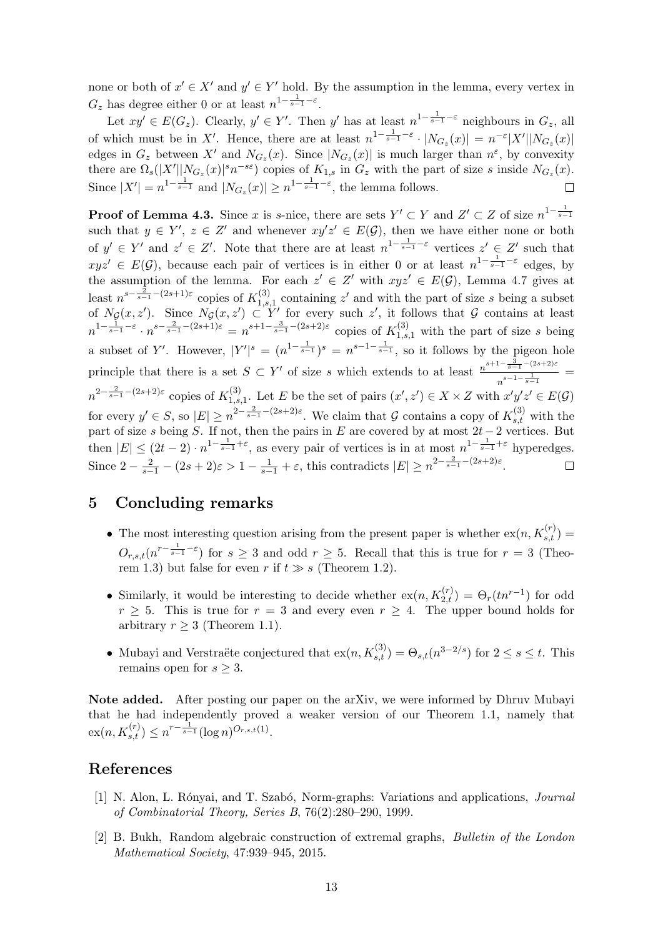none or both of  $x' \in X'$  and  $y' \in Y'$  hold. By the assumption in the lemma, every vertex in  $G_z$  has degree either 0 or at least  $n^{1-\frac{1}{s-1}-\varepsilon}$ .

Let  $xy' \in E(G_z)$ . Clearly,  $y' \in Y'$ . Then y' has at least  $n^{1-\frac{1}{s-1}-\varepsilon}$  neighbours in  $G_z$ , all of which must be in X'. Hence, there are at least  $n^{1-\frac{1}{s-1}-\varepsilon} \cdot |N_{G_z}(x)| = n^{-\varepsilon} |X'||N_{G_z}(x)|$ edges in  $G_z$  between X' and  $N_{G_z}(x)$ . Since  $|N_{G_z}(x)|$  is much larger than  $n^{\varepsilon}$ , by convexity there are  $\Omega_s(|X'||N_{G_z}(x)|^s n^{-s\epsilon})$  copies of  $K_{1,s}$  in  $G_z$  with the part of size s inside  $N_{G_z}(x)$ . Since  $|X'| = n^{1-\frac{1}{s-1}}$  and  $|N_{G_z}(x)| \geq n^{1-\frac{1}{s-1}-\varepsilon}$ , the lemma follows.

**Proof of Lemma [4.3.](#page-8-2)** Since x is s-nice, there are sets  $Y' \subset Y$  and  $Z' \subset Z$  of size  $n^{1-\frac{1}{s-1}}$ such that  $y \in Y'$ ,  $z \in Z'$  and whenever  $xy'z' \in E(G)$ , then we have either none or both of  $y' \in Y'$  and  $z' \in Z'$ . Note that there are at least  $n^{1-\frac{1}{s-1}-\varepsilon}$  vertices  $z' \in Z'$  such that  $xyz' \in E(G)$ , because each pair of vertices is in either 0 or at least  $n^{1-\frac{1}{s-1}-\varepsilon}$  edges, by the assumption of the lemma. For each  $z' \in Z'$  with  $xyz' \in E(G)$ , Lemma [4.7](#page-11-4) gives at least  $n^{s-\frac{2}{s-1}-(2s+1)\varepsilon}$  copies of  $K_{1,s}^{(3)}$  $1, s, 1$  containing z' and with the part of size s being a subset of  $N_{\mathcal{G}}(x, z')$ . Since  $N_{\mathcal{G}}(x, z') \subset Y'$  for every such z', it follows that G contains at least  $n^{1-\frac{1}{s-1}-\varepsilon} \cdot n^{s-\frac{2}{s-1}-(2s+1)\varepsilon} = n^{s+1-\frac{3}{s-1}-(2s+2)\varepsilon}$  copies of  $K_{1,s,1}^{(3)}$  with the part of size s being a subset of Y'. However,  $|Y'|^{s} = (n^{1-\frac{1}{s-1}})^{s} = n^{s-1-\frac{1}{s-1}}$ , so it follows by the pigeon hole principle that there is a set  $S \subset Y'$  of size s which extends to at least  $\frac{n^{s+1-\frac{3}{s-1}-(2s+2)\epsilon}}{s-1}$  $\frac{s-1}{n^{s-1-\frac{1}{s-1}}}$  =  $n^{2-\frac{2}{s-1}-(2s+2)\varepsilon}$  copies of  $K_{1,s}^{(3)}$ <sup>(3)</sup><sub>1,s,1</sub>. Let E be the set of pairs  $(x', z') \in X \times Z$  with  $x'y'z' \in E(G)$ for every  $y' \in S$ , so  $|E| \geq n^{2 - \frac{2}{s-1} - (2s+2)\varepsilon}$ . We claim that G contains a copy of  $K_{s,t}^{(3)}$  with the part of size s being S. If not, then the pairs in E are covered by at most  $2t-2$  vertices. But then  $|E| \leq (2t-2) \cdot n^{1-\frac{1}{s-1}+\varepsilon}$ , as every pair of vertices is in at most  $n^{1-\frac{1}{s-1}+\varepsilon}$  hyperedges. Since  $2 - \frac{2}{s-1} - (2s+2)\varepsilon > 1 - \frac{1}{s-1} + \varepsilon$ , this contradicts  $|E| \ge n^{2 - \frac{2}{s-1} - (2s+2)\varepsilon}$ .  $\Box$ 

# <span id="page-12-1"></span>5 Concluding remarks

- The most interesting question arising from the present paper is whether  $\operatorname{ex}(n, K_{s,t}^{(r)}) =$  $O_{r,s,t}(n^{r-\frac{1}{s-1}-\varepsilon})$  for  $s\geq 3$  and odd  $r\geq 5$ . Recall that this is true for  $r=3$  (Theo-rem [1.3\)](#page-2-0) but false for even r if  $t \gg s$  (Theorem [1.2\)](#page-1-1).
- Similarly, it would be interesting to decide whether  $\operatorname{ex}(n, K_{2,t}^{(r)}) = \Theta_r(t n^{r-1})$  for odd  $r \geq 5$ . This is true for  $r = 3$  and every even  $r \geq 4$ . The upper bound holds for arbitrary  $r \geq 3$  (Theorem [1.1\)](#page-1-0).
- Mubayi and Verstraëte conjectured that  $ex(n, K_{s,t}^{(3)}) = \Theta_{s,t}(n^{3-2/s})$  for  $2 \le s \le t$ . This remains open for  $s \geq 3$ .

Note added. After posting our paper on the arXiv, we were informed by Dhruv Mubayi that he had independently proved a weaker version of our Theorem [1.1,](#page-1-0) namely that  $\mathrm{ex}(n, K_{s,t}^{(r)}) \leq n^{r-\frac{1}{s-1}} (\log n)^{O_{r,s,t}(1)}.$ 

### References

- <span id="page-12-2"></span>[1] N. Alon, L. Rónyai, and T. Szabó, Norm-graphs: Variations and applications, *Journal* of Combinatorial Theory, Series B, 76(2):280–290, 1999.
- <span id="page-12-0"></span>[2] B. Bukh, Random algebraic construction of extremal graphs, Bulletin of the London Mathematical Society, 47:939–945, 2015.